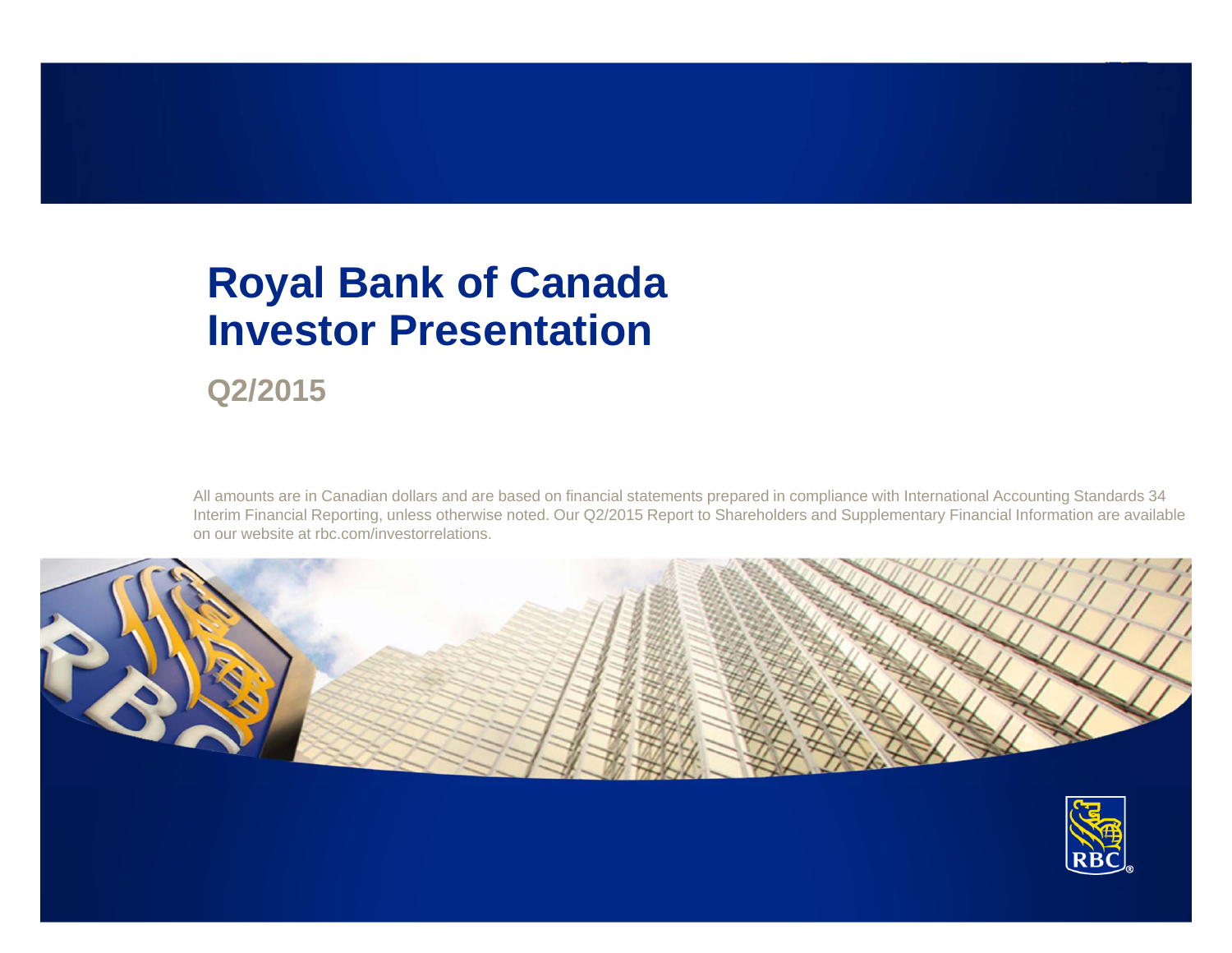## **Royal Bank of Canada Investor Presentation**

**Q2/2015**

All amounts are in Canadian dollars and are based on financial statements prepared in compliance with International Accounting Standards 34 Interim Financial Reporting, unless otherwise noted. Our Q2/2015 Report to Shareholders and Supplementary Financial Information are available on our website at rbc.com/investorrelations.



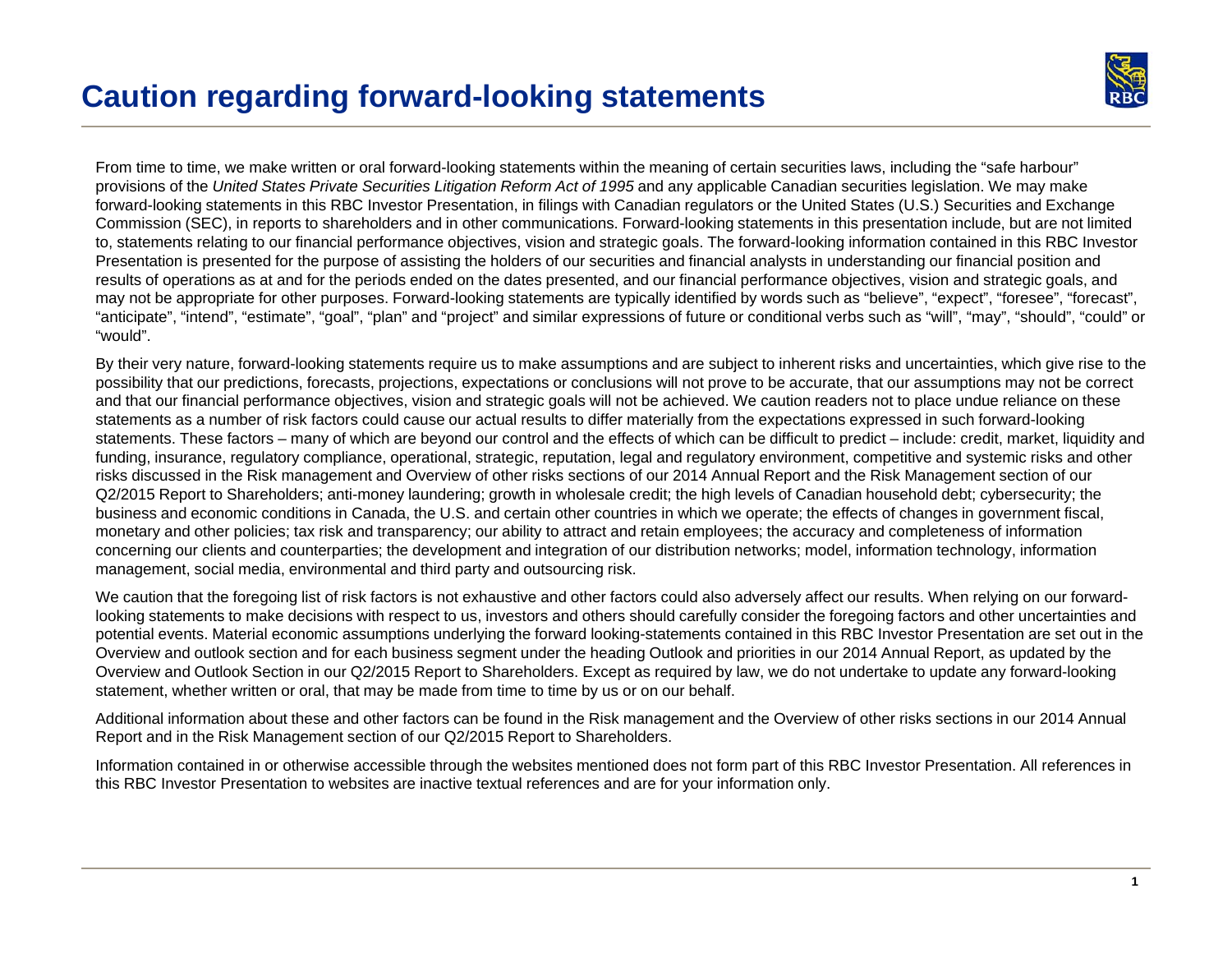

From time to time, we make written or oral forward-looking statements within the meaning of certain securities laws, including the "safe harbour" provisions of the *United States Private Securities Litigation Reform Act of 1995* and any applicable Canadian securities legislation. We may make forward-looking statements in this RBC Investor Presentation, in filings with Canadian regulators or the United States (U.S.) Securities and Exchange Commission (SEC), in reports to shareholders and in other communications. Forward-looking statements in this presentation include, but are not limited to, statements relating to our financial performance objectives, vision and strategic goals. The forward-looking information contained in this RBC Investor Presentation is presented for the purpose of assisting the holders of our securities and financial analysts in understanding our financial position and results of operations as at and for the periods ended on the dates presented, and our financial performance objectives, vision and strategic goals, and may not be appropriate for other purposes. Forward-looking statements are typically identified by words such as "believe", "expect", "foresee", "forecast", "anticipate", "intend", "estimate", "goal", "plan" and "project" and similar expressions of future or conditional verbs such as "will", "may", "should", "could" or "would".

By their very nature, forward-looking statements require us to make assumptions and are subject to inherent risks and uncertainties, which give rise to the possibility that our predictions, forecasts, projections, expectations or conclusions will not prove to be accurate, that our assumptions may not be correct and that our financial performance objectives, vision and strategic goals will not be achieved. We caution readers not to place undue reliance on these statements as a number of risk factors could cause our actual results to differ materially from the expectations expressed in such forward-looking statements. These factors – many of which are beyond our control and the effects of which can be difficult to predict – include: credit, market, liquidity and funding, insurance, regulatory compliance, operational, strategic, reputation, legal and regulatory environment, competitive and systemic risks and other risks discussed in the Risk management and Overview of other risks sections of our 2014 Annual Report and the Risk Management section of our Q2/2015 Report to Shareholders; anti-money laundering; growth in wholesale credit; the high levels of Canadian household debt; cybersecurity; the business and economic conditions in Canada, the U.S. and certain other countries in which we operate; the effects of changes in government fiscal, monetary and other policies; tax risk and transparency; our ability to attract and retain employees; the accuracy and completeness of information concerning our clients and counterparties; the development and integration of our distribution networks; model, information technology, information management, social media, environmental and third party and outsourcing risk.

We caution that the foregoing list of risk factors is not exhaustive and other factors could also adversely affect our results. When relying on our forwardlooking statements to make decisions with respect to us, investors and others should carefully consider the foregoing factors and other uncertainties and potential events. Material economic assumptions underlying the forward looking-statements contained in this RBC Investor Presentation are set out in the Overview and outlook section and for each business segment under the heading Outlook and priorities in our 2014 Annual Report, as updated by the Overview and Outlook Section in our Q2/2015 Report to Shareholders. Except as required by law, we do not undertake to update any forward-looking statement, whether written or oral, that may be made from time to time by us or on our behalf.

Additional information about these and other factors can be found in the Risk management and the Overview of other risks sections in our 2014 Annual Report and in the Risk Management section of our Q2/2015 Report to Shareholders.

Information contained in or otherwise accessible through the websites mentioned does not form part of this RBC Investor Presentation. All references in this RBC Investor Presentation to websites are inactive textual references and are for your information only.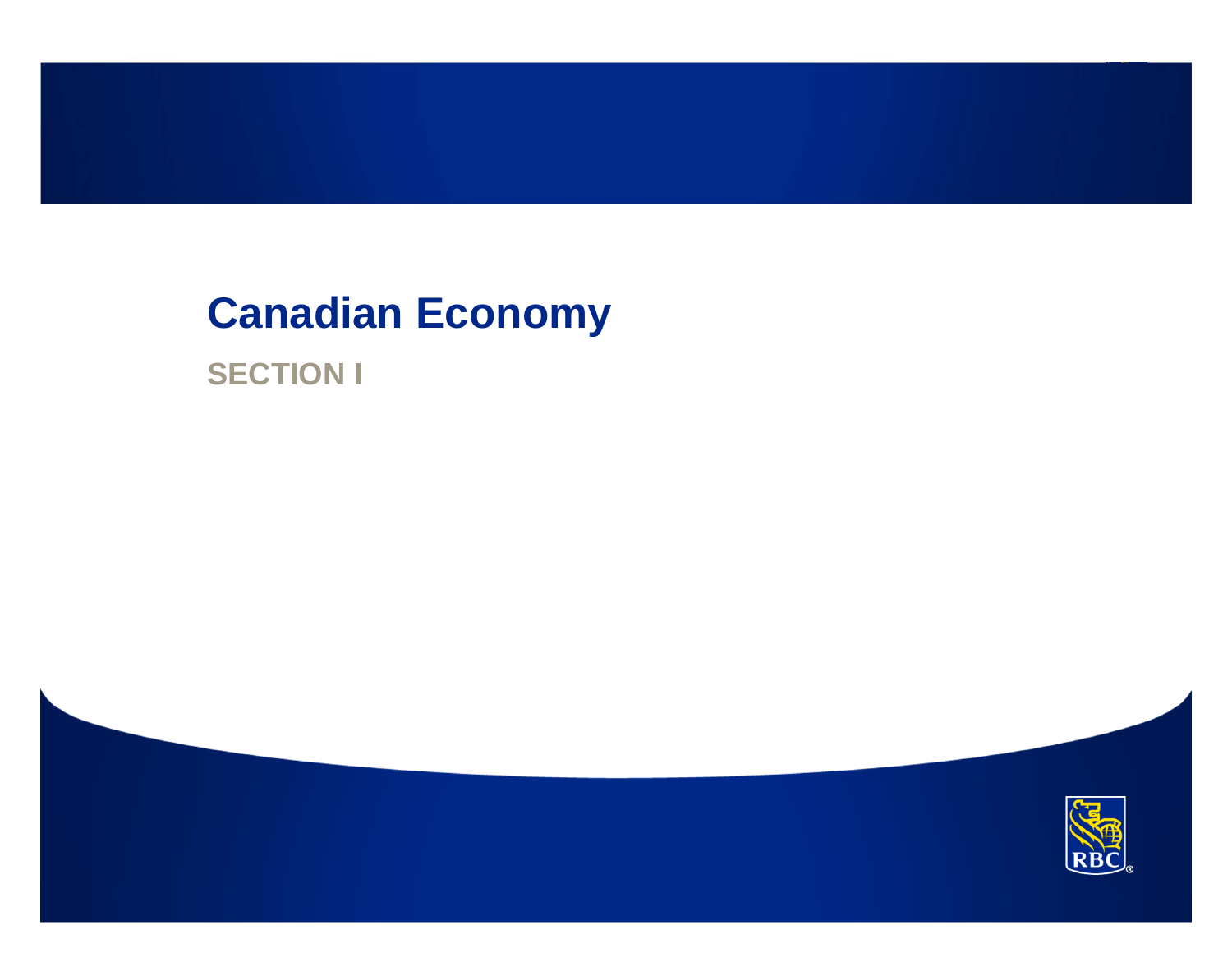## **Canadian Economy**

**SECTION I**

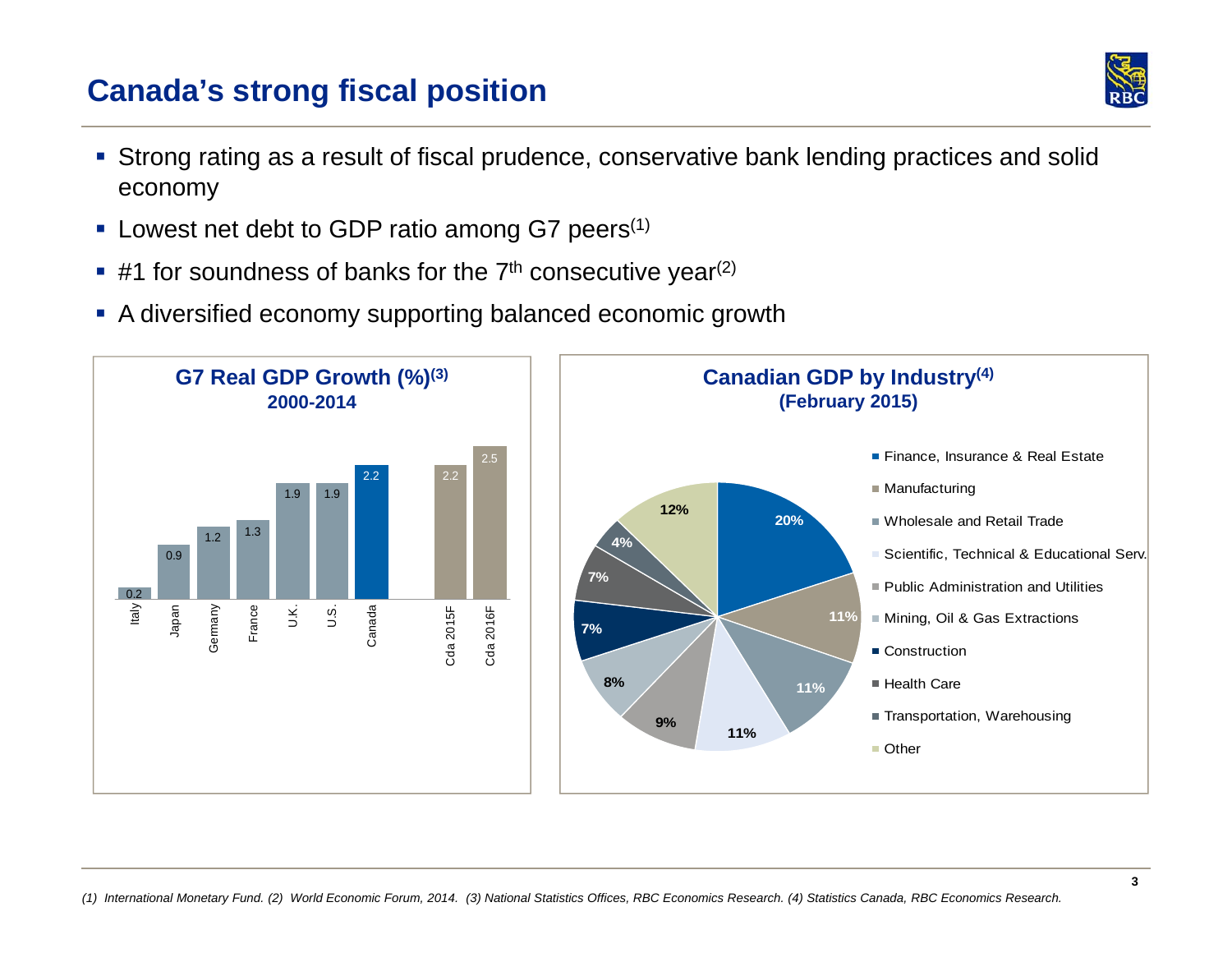### **Canada's strong fiscal position**



- Strong rating as a result of fiscal prudence, conservative bank lending practices and solid economy
- **Lowest net debt to GDP ratio among G7 peers**<sup>(1)</sup>
- $\blacksquare$  #1 for soundness of banks for the 7<sup>th</sup> consecutive year<sup>(2)</sup>
- A diversified economy supporting balanced economic growth

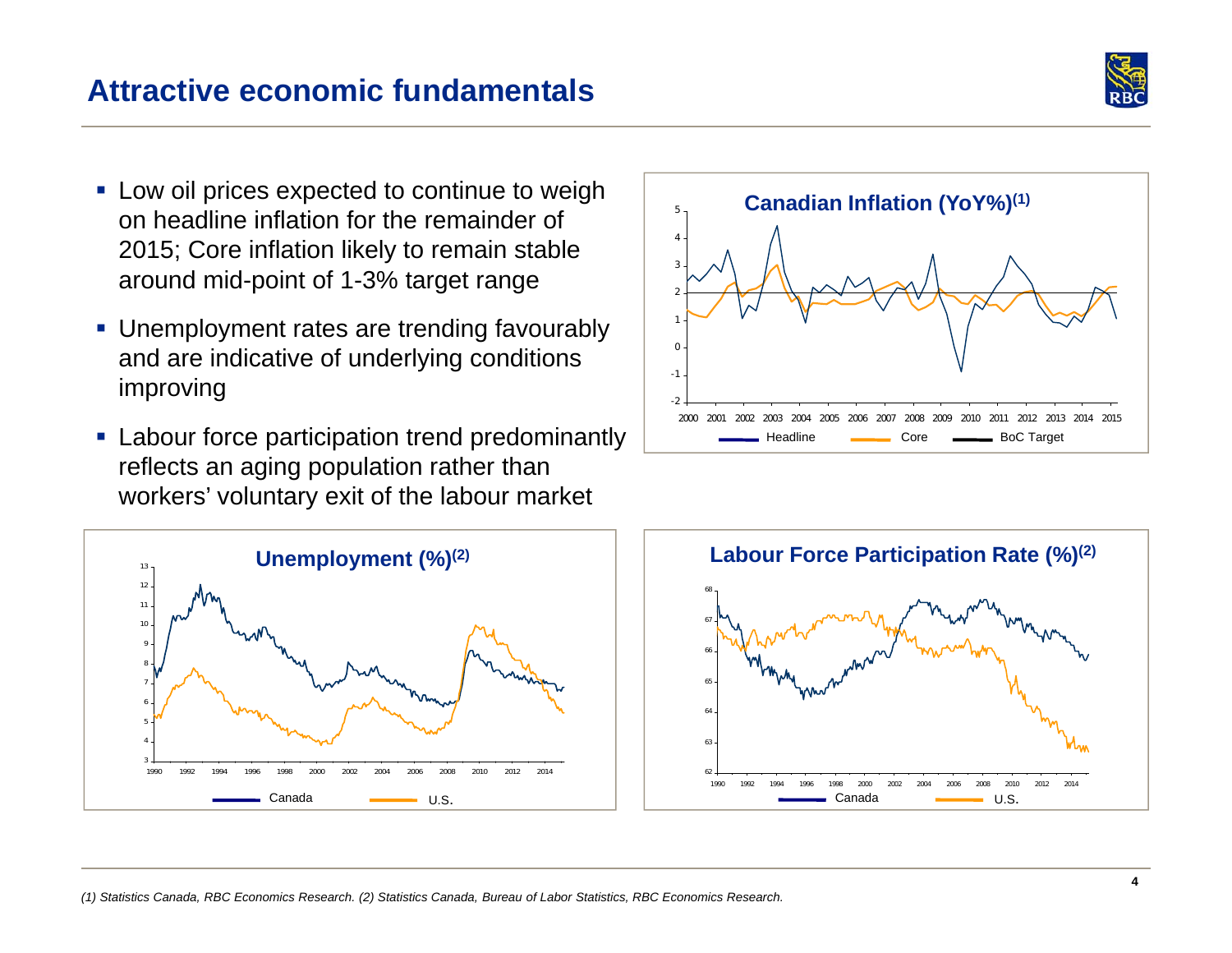

- **Low oil prices expected to continue to weigh** on headline inflation for the remainder of 2015; Core inflation likely to remain stable around mid-point of 1-3% target range
- **Unemployment rates are trending favourably** and are indicative of underlying conditions improving
- **Labour force participation trend predominantly** reflects an aging population rather than workers' voluntary exit of the labour market





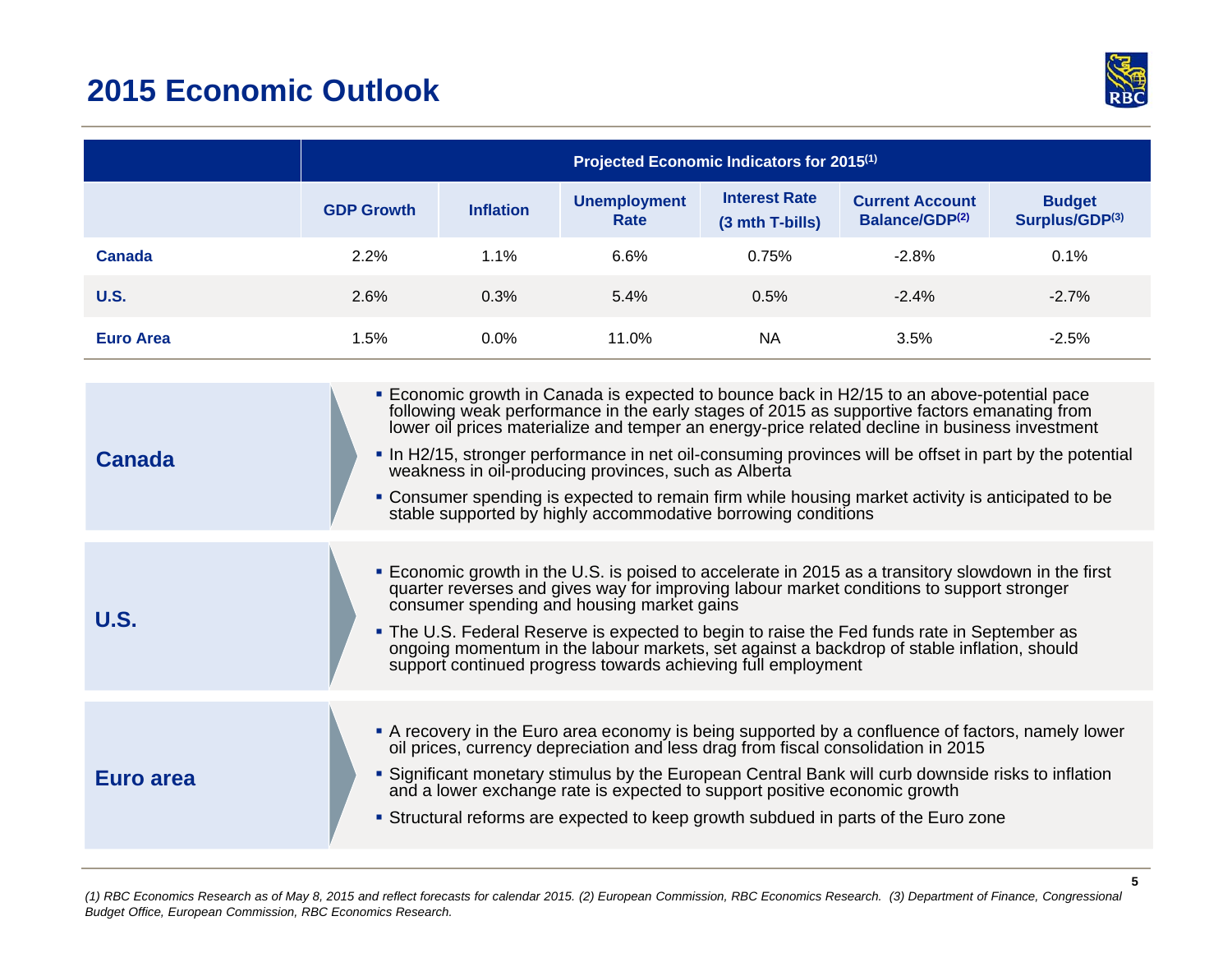### **2015 Economic Outlook**



|                  | Projected Economic Indicators for 2015 <sup>(1)</sup> |                  |                                                                                                                       |                                         |                                                                                                                                                                                                                                                                                                                                                                                                                                                                                                                  |                                 |
|------------------|-------------------------------------------------------|------------------|-----------------------------------------------------------------------------------------------------------------------|-----------------------------------------|------------------------------------------------------------------------------------------------------------------------------------------------------------------------------------------------------------------------------------------------------------------------------------------------------------------------------------------------------------------------------------------------------------------------------------------------------------------------------------------------------------------|---------------------------------|
|                  | <b>GDP Growth</b>                                     | <b>Inflation</b> | <b>Unemployment</b><br>Rate                                                                                           | <b>Interest Rate</b><br>(3 mth T-bills) | <b>Current Account</b><br>Balance/GDP(2)                                                                                                                                                                                                                                                                                                                                                                                                                                                                         | <b>Budget</b><br>Surplus/GDP(3) |
| <b>Canada</b>    | 2.2%                                                  | 1.1%             | 6.6%                                                                                                                  | 0.75%                                   | $-2.8%$                                                                                                                                                                                                                                                                                                                                                                                                                                                                                                          | 0.1%                            |
| <b>U.S.</b>      | 2.6%                                                  | 0.3%             | 5.4%                                                                                                                  | 0.5%                                    | $-2.4%$                                                                                                                                                                                                                                                                                                                                                                                                                                                                                                          | $-2.7%$                         |
| <b>Euro Area</b> | 1.5%                                                  | 0.0%             | 11.0%                                                                                                                 | <b>NA</b>                               | 3.5%                                                                                                                                                                                                                                                                                                                                                                                                                                                                                                             | $-2.5%$                         |
| <b>Canada</b>    |                                                       |                  | weakness in oil-producing provinces, such as Alberta<br>stable supported by highly accommodative borrowing conditions |                                         | <b>Economic growth in Canada is expected to bounce back in H2/15 to an above-potential pace</b><br>following weak performance in the early stages of 2015 as supportive factors emanating from<br>lower oil prices materialize and temper an energy-price related decline in business investment<br>• In H2/15, stronger performance in net oil-consuming provinces will be offset in part by the potential<br>• Consumer spending is expected to remain firm while housing market activity is anticipated to be |                                 |
| <b>U.S.</b>      |                                                       |                  | consumer spending and housing market gains<br>support continued progress towards achieving full employment            |                                         | • Economic growth in the U.S. is poised to accelerate in 2015 as a transitory slowdown in the first<br>quarter reverses and gives way for improving labour market conditions to support stronger<br>. The U.S. Federal Reserve is expected to begin to raise the Fed funds rate in September as<br>ongoing momentum in the labour markets, set against a backdrop of stable inflation, should                                                                                                                    |                                 |
| Euro area        |                                                       |                  | and a lower exchange rate is expected to support positive economic growth                                             |                                         | A recovery in the Euro area economy is being supported by a confluence of factors, namely lower<br>oil prices, currency depreciation and less drag from fiscal consolidation in 2015<br>• Significant monetary stimulus by the European Central Bank will curb downside risks to inflation<br>• Structural reforms are expected to keep growth subdued in parts of the Euro zone                                                                                                                                 |                                 |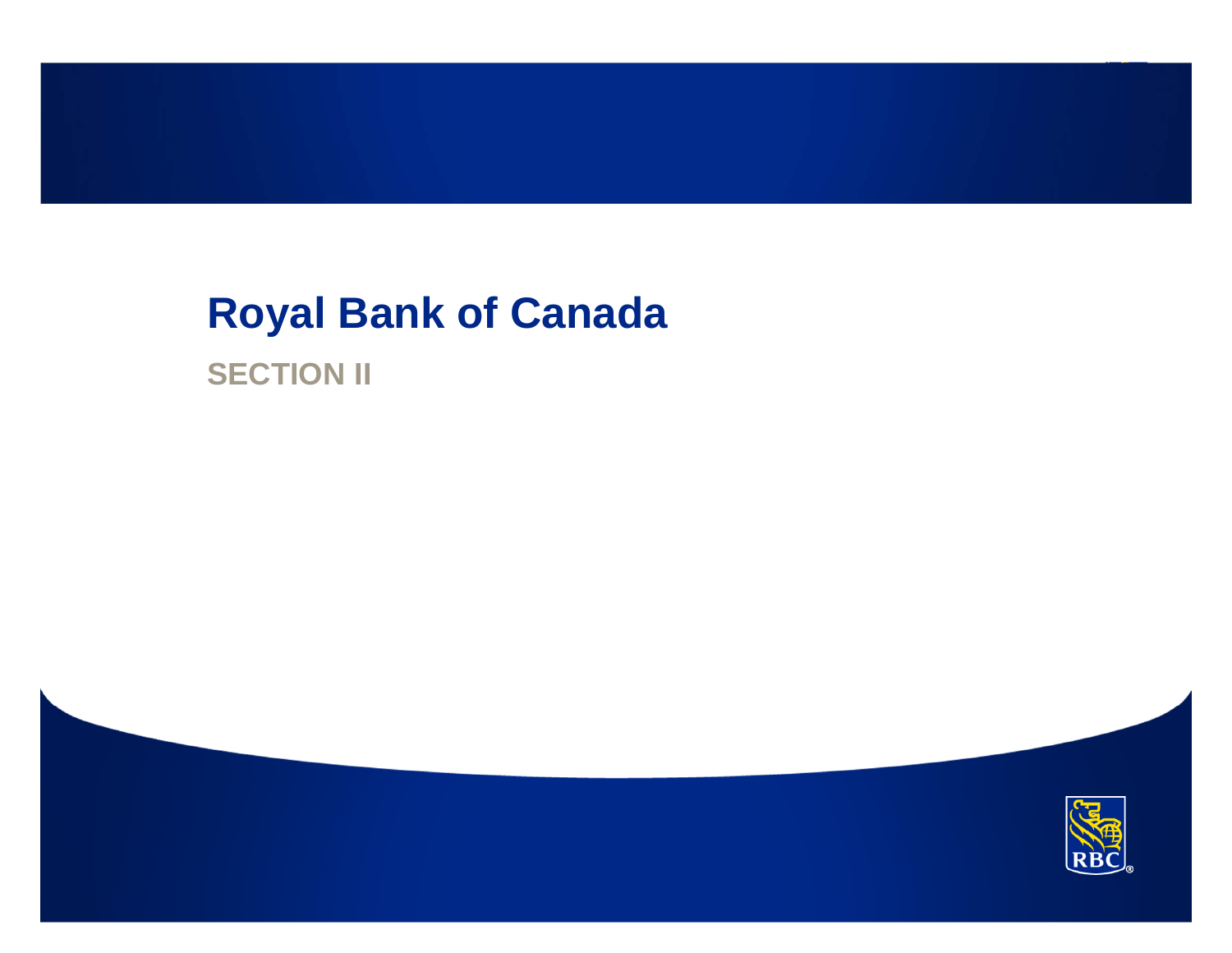# **Royal Bank of Canada**

**SECTION II**

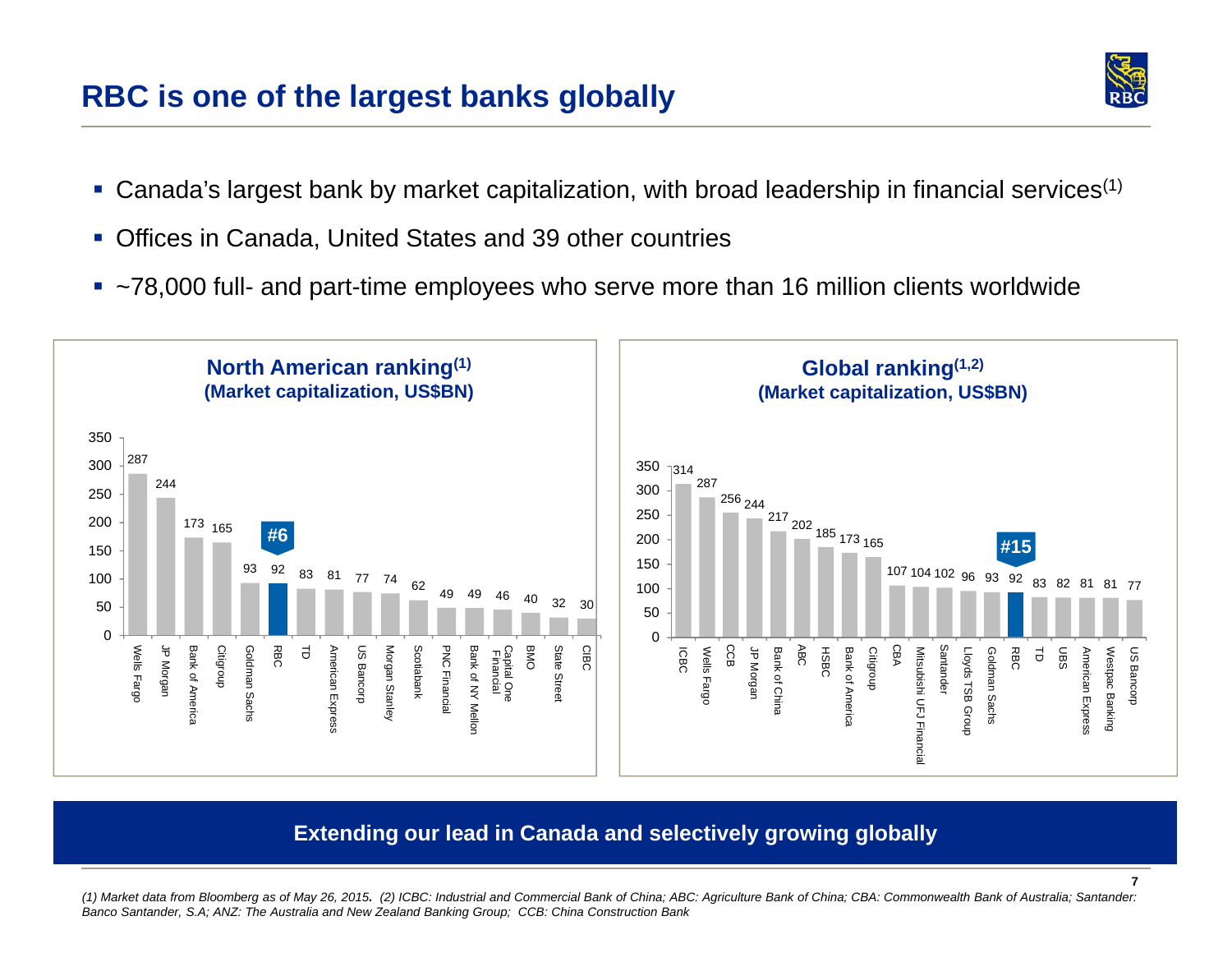### **RBC is one of the largest banks globally**



**7**

- Ganada's largest bank by market capitalization, with broad leadership in financial services<sup>(1)</sup>
- Offices in Canada, United States and 39 other countries
- ~78,000 full- and part-time employees who serve more than 16 million clients worldwide



#### **Extending our lead in Canada and selectively growing globally**

*(1) Market data from Bloomberg as of May 26, 2015. (2) ICBC: Industrial and Commercial Bank of China; ABC: Agriculture Bank of China; CBA: Commonwealth Bank of Australia; Santander: Banco Santander, S.A; ANZ: The Australia and New Zealand Banking Group; CCB: China Construction Bank*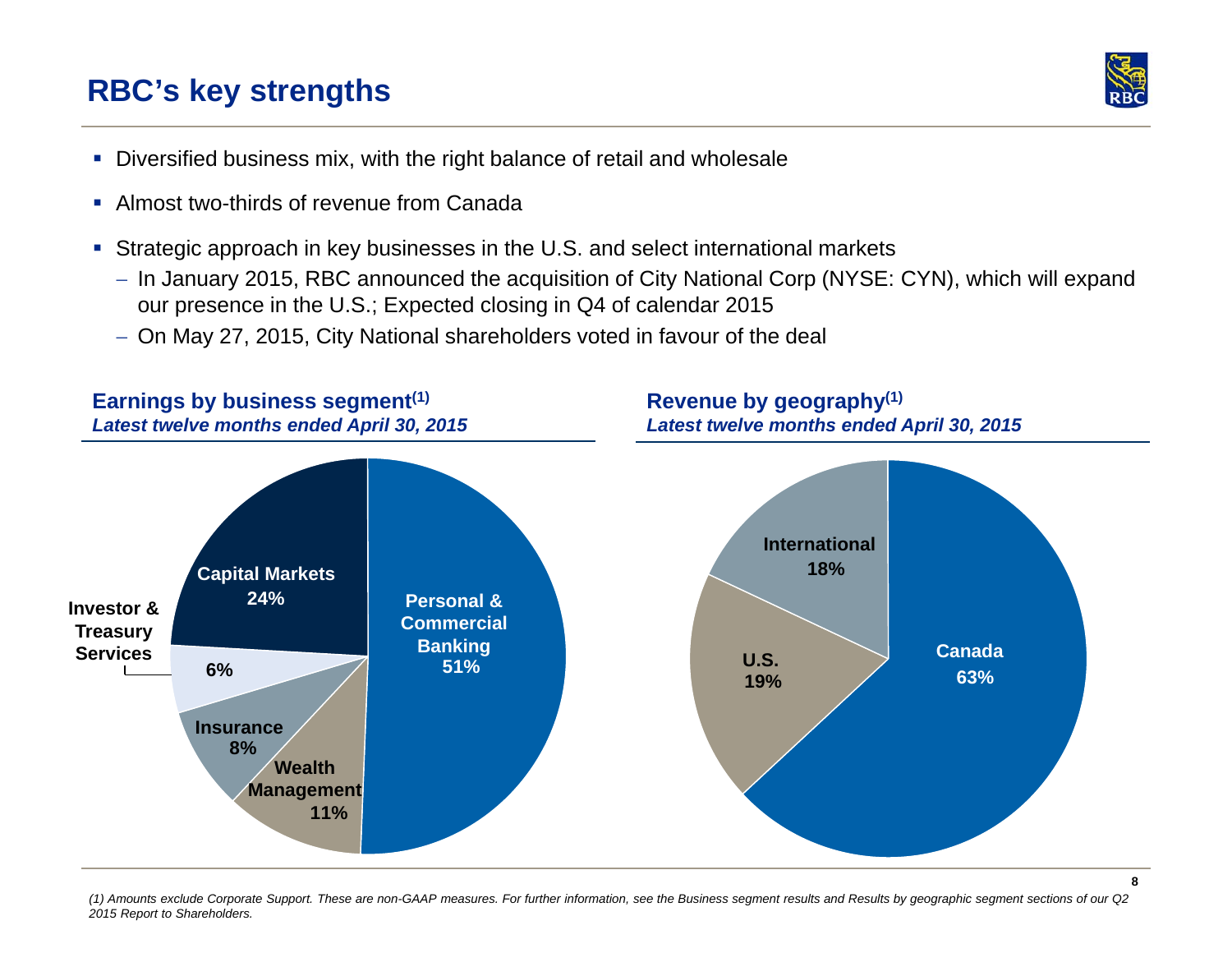### **RBC's key strengths**



- Diversified business mix, with the right balance of retail and wholesale
- Almost two-thirds of revenue from Canada
- Strategic approach in key businesses in the U.S. and select international markets
	- In January 2015, RBC announced the acquisition of City National Corp (NYSE: CYN), which will expand our presence in the U.S.; Expected closing in Q4 of calendar 2015
	- On May 27, 2015, City National shareholders voted in favour of the deal



*(1) Amounts exclude Corporate Support. These are non-GAAP measures. For further information, see the Business segment results and Results by geographic segment sections of our Q2 2015 Report to Shareholders.*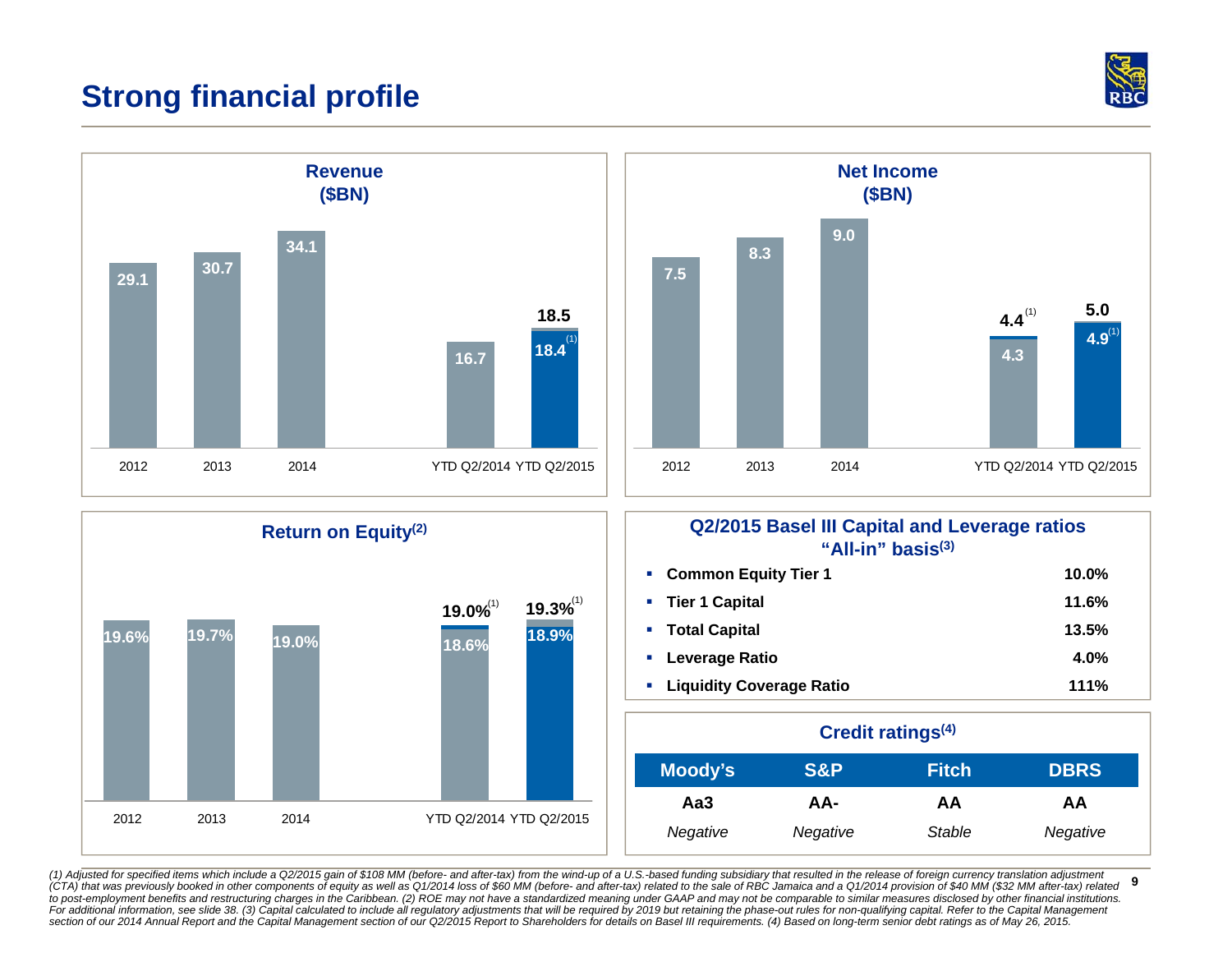### **Strong financial profile**







## **Return on Equity(2) Q2/2015 Basel III Capital and Leverage ratios "All-in" basis(3)**

| • Common Equity Tier 1             | 10.0% |
|------------------------------------|-------|
| • Tier 1 Capital                   | 11.6% |
| • Total Capital                    | 13.5% |
| • Leverage Ratio                   | 4.0%  |
| <b>E.</b> Liquidity Coverage Ratio | 111%  |

| Credit ratings <sup>(4)</sup> |                |              |             |
|-------------------------------|----------------|--------------|-------------|
| Moody's                       | <b>S&amp;P</b> | <b>Fitch</b> | <b>DBRS</b> |
| Aa3                           | AA-            | AА           | AA          |
| Negative                      | Negative       | Stable       | Negative    |

**9**(1) Adjusted for specified items which include a Q2/2015 gain of \$108 MM (before- and after-tax) from the wind-up of a U.S.-based funding subsidiary that resulted in the release of foreign currency translation adjustment (CTA) that was previously booked in other components of equity as well as Q1/2014 loss of \$60 MM (before- and after-tax) related to the sale of RBC Jamaica and a Q1/2014 provision of \$40 MM (\$32 MM after-tax) related to post-employment benefits and restructuring charges in the Caribbean. (2) ROE may not have a standardized meaning under GAAP and may not be comparable to similar measures disclosed by other financial institutions.<br>For ad *section of our 2014 Annual Report and the Capital Management section of our Q2/2015 Report to Shareholders for details on Basel III requirements. (4) Based on long-term senior debt ratings as of May 26, 2015.*

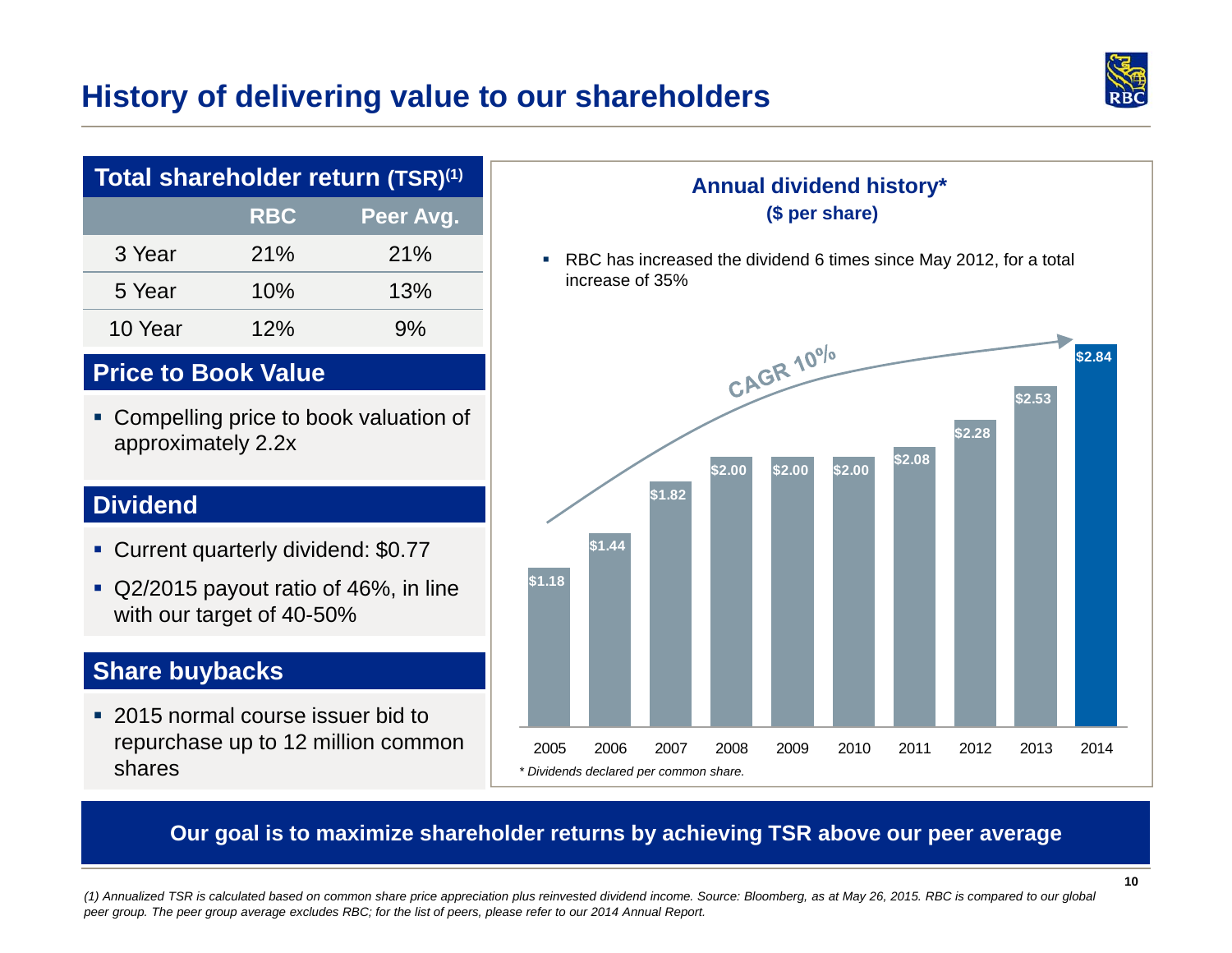### **History of delivering value to our shareholders**



| Total shareholder return (TSR) <sup>(1)</sup> |     |       |  |  |
|-----------------------------------------------|-----|-------|--|--|
| <b>RBC</b><br>Peer Avg.                       |     |       |  |  |
| 3 Year                                        | 21% | 21%   |  |  |
| 5 Year                                        | 10% | 13%   |  |  |
| 10 Year                                       | 12% | $9\%$ |  |  |

#### **Price to Book Value**

 Compelling price to book valuation of approximately 2.2x

#### **Dividend**

- Current quarterly dividend: \$0.77
- Q2/2015 payout ratio of 46%, in line with our target of 40-50%

### **Share buybacks**

 2015 normal course issuer bid to repurchase up to 12 million common shares

#### **Annual dividend history\* (\$ per share)**

 RBC has increased the dividend 6 times since May 2012, for a total increase of 35%



#### **Our goal is to maximize shareholder returns by achieving TSR above our peer average**

*(1) Annualized TSR is calculated based on common share price appreciation plus reinvested dividend income. Source: Bloomberg, as at May 26, 2015. RBC is compared to our global peer group. The peer group average excludes RBC; for the list of peers, please refer to our 2014 Annual Report.*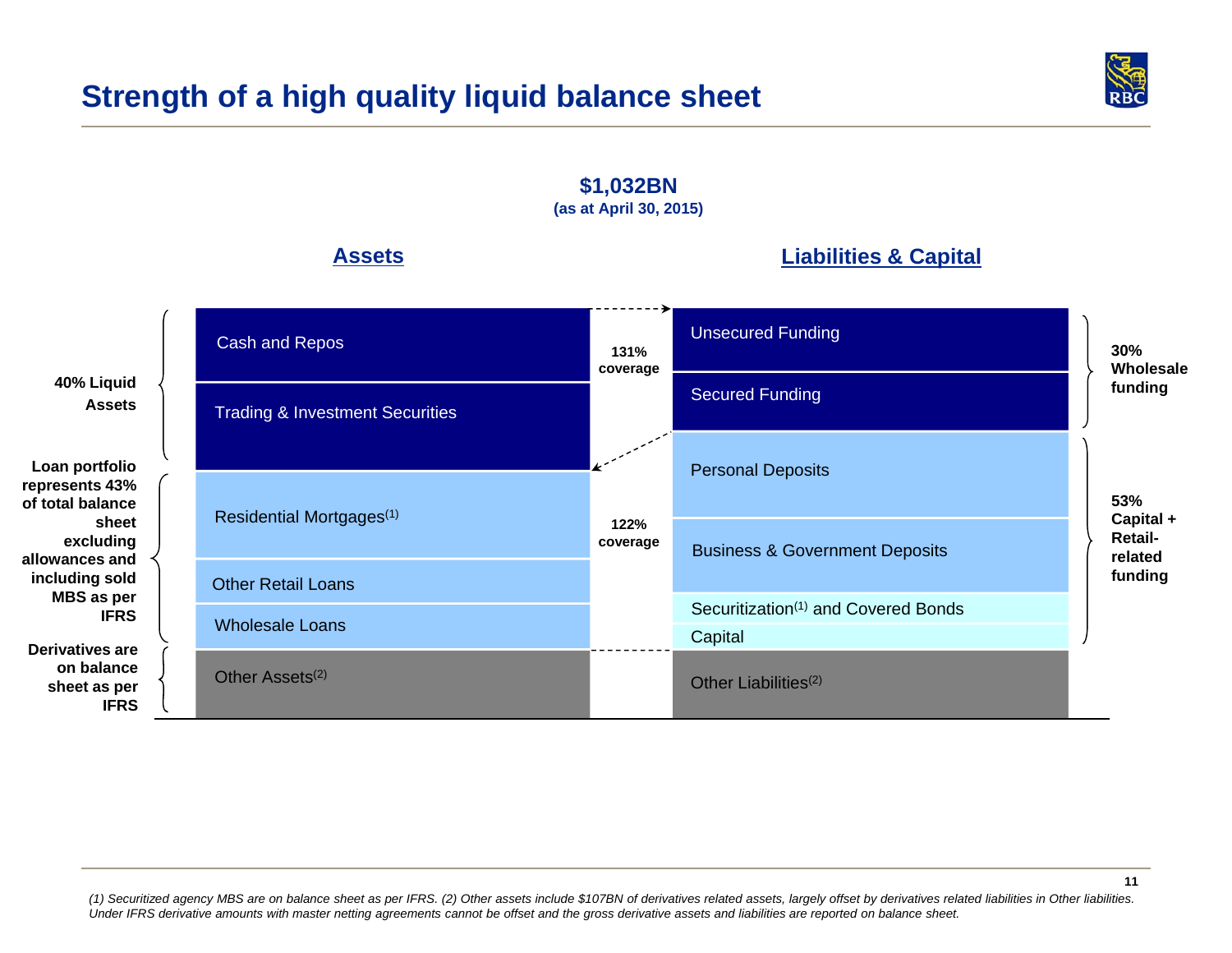### **Strength of a high quality liquid balance sheet**



**131% coverage Assets40% Liquid Assets(as at April 30, 2015) Loan portfolio represents 43% of total balance sheet excluding allowances and including sold MBS as per IFRSLiabilities & Capital 53% Capital + Retailrelated funding 30% Wholesale funding 122% coverage Derivatives are on balance sheet as per IFRS**Business & Government Deposits Personal Deposits **Capital** Other Liabilities $(2)$ Securitization<sup>(1)</sup> and Covered Bonds Secured Funding Unsecured Funding Cash and Repos Trading & Investment Securities Residential Mortgages(1) Other Retail LoansWholesale LoansOther Assets<sup>(2)</sup>

**\$1,032BN**

*(1) Securitized agency MBS are on balance sheet as per IFRS. (2) Other assets include \$107BN of derivatives related assets, largely offset by derivatives related liabilities in Other liabilities. Under IFRS derivative amounts with master netting agreements cannot be offset and the gross derivative assets and liabilities are reported on balance sheet.*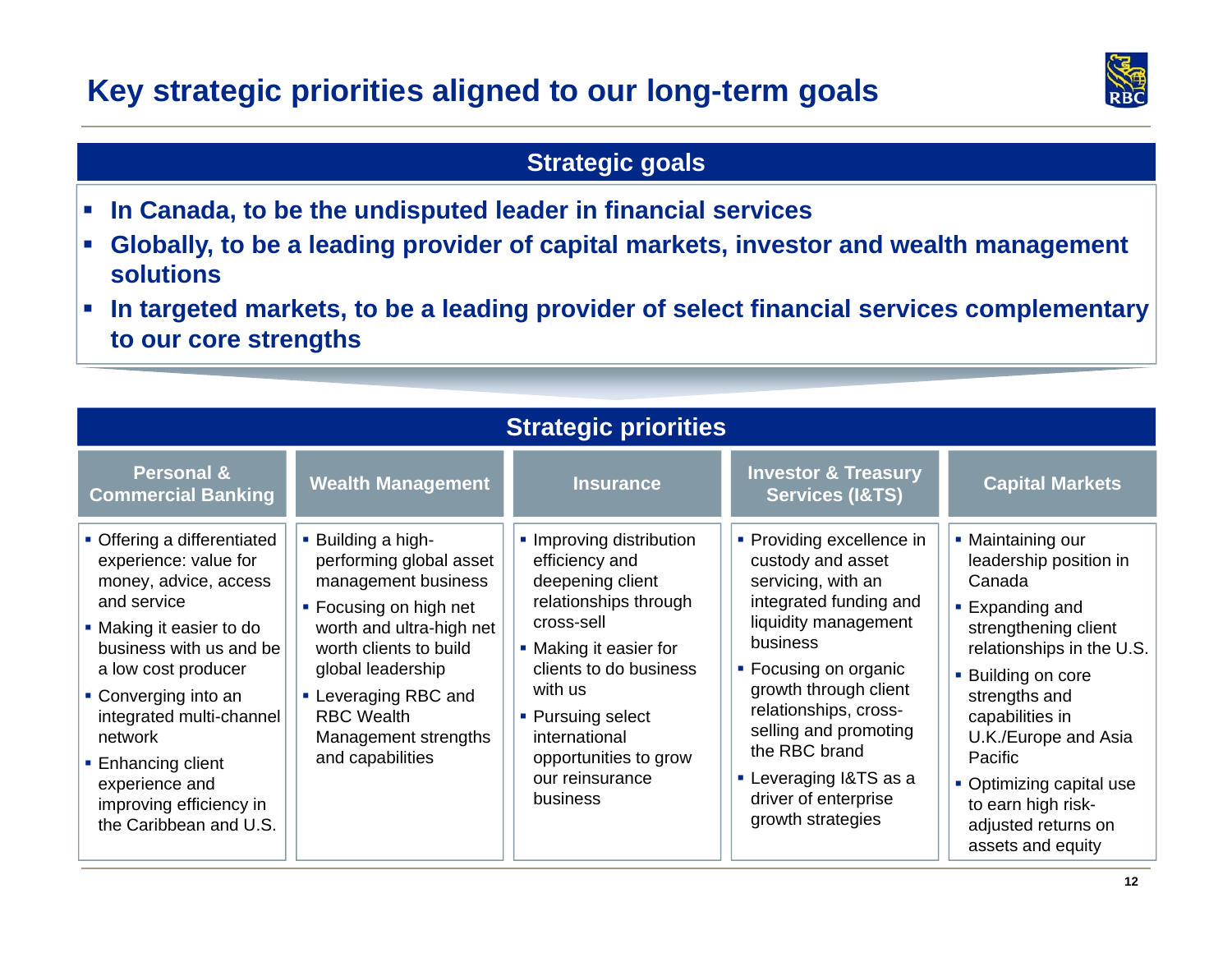### **Key strategic priorities aligned to our long-term goals**



### **Strategic goals**

- $\mathcal{L}_{\mathcal{A}}$ **In Canada, to be the undisputed leader in financial services**
- $\mathcal{L}_{\mathcal{A}}$  **Globally, to be a leading provider of capital markets, investor and wealth management solutions**
- $\mathcal{L}_{\mathcal{A}}$  **In targeted markets, to be a leading provider of select financial services complementary to our core strengths**

| <b>Strategic priorities</b>                                                                                                                                                                                                                                                                                                            |                                                                                                                                                                                                                                                                    |                                                                                                                                                                                                                                                                    |                                                                                                                                                                                                                                                                                                                                |                                                                                                                                                                                                                                                                                                                          |  |
|----------------------------------------------------------------------------------------------------------------------------------------------------------------------------------------------------------------------------------------------------------------------------------------------------------------------------------------|--------------------------------------------------------------------------------------------------------------------------------------------------------------------------------------------------------------------------------------------------------------------|--------------------------------------------------------------------------------------------------------------------------------------------------------------------------------------------------------------------------------------------------------------------|--------------------------------------------------------------------------------------------------------------------------------------------------------------------------------------------------------------------------------------------------------------------------------------------------------------------------------|--------------------------------------------------------------------------------------------------------------------------------------------------------------------------------------------------------------------------------------------------------------------------------------------------------------------------|--|
| <b>Personal &amp;</b><br><b>Commercial Banking</b>                                                                                                                                                                                                                                                                                     | <b>Wealth Management</b>                                                                                                                                                                                                                                           | <b>Insurance</b>                                                                                                                                                                                                                                                   | <b>Investor &amp; Treasury</b><br><b>Services (I&amp;TS)</b>                                                                                                                                                                                                                                                                   | <b>Capital Markets</b>                                                                                                                                                                                                                                                                                                   |  |
| • Offering a differentiated<br>experience: value for<br>money, advice, access<br>and service<br>• Making it easier to do<br>business with us and be<br>a low cost producer<br>• Converging into an<br>integrated multi-channel<br>network<br>■ Enhancing client<br>experience and<br>improving efficiency in<br>the Caribbean and U.S. | • Building a high-<br>performing global asset<br>management business<br>• Focusing on high net<br>worth and ultra-high net<br>worth clients to build<br>global leadership<br>• Leveraging RBC and<br><b>RBC Wealth</b><br>Management strengths<br>and capabilities | • Improving distribution<br>efficiency and<br>deepening client<br>relationships through<br>cross-sell<br>• Making it easier for<br>clients to do business<br>with us<br>• Pursuing select<br>international<br>opportunities to grow<br>our reinsurance<br>business | • Providing excellence in<br>custody and asset<br>servicing, with an<br>integrated funding and<br>liquidity management<br>business<br>• Focusing on organic<br>growth through client<br>relationships, cross-<br>selling and promoting<br>the RBC brand<br>• Leveraging I&TS as a<br>driver of enterprise<br>growth strategies | • Maintaining our<br>leadership position in<br>Canada<br>■ Expanding and<br>strengthening client<br>relationships in the U.S.<br>• Building on core<br>strengths and<br>capabilities in<br>U.K./Europe and Asia<br>Pacific<br>• Optimizing capital use<br>to earn high risk-<br>adjusted returns on<br>assets and equity |  |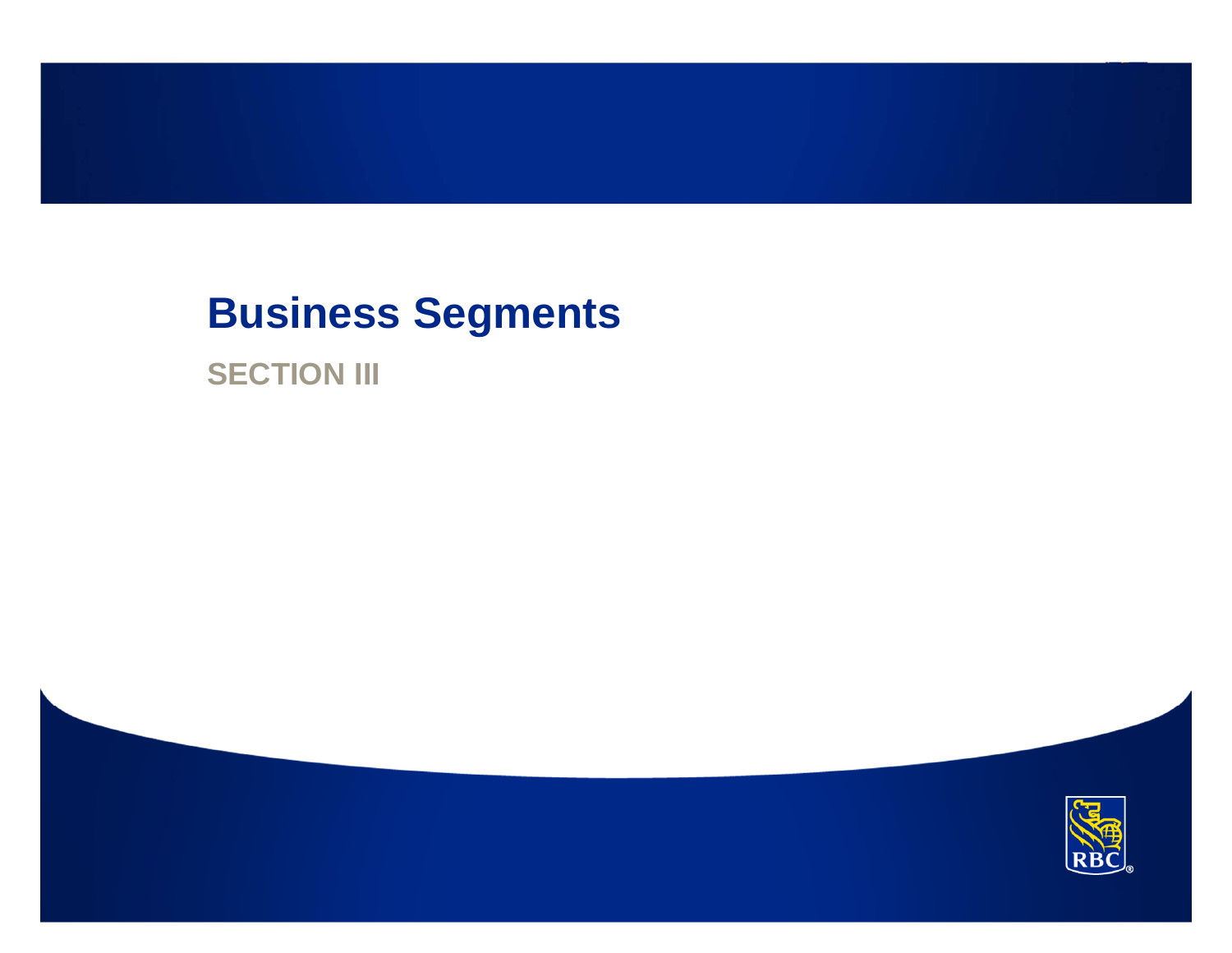## **Business Segments**

**SECTION III** 

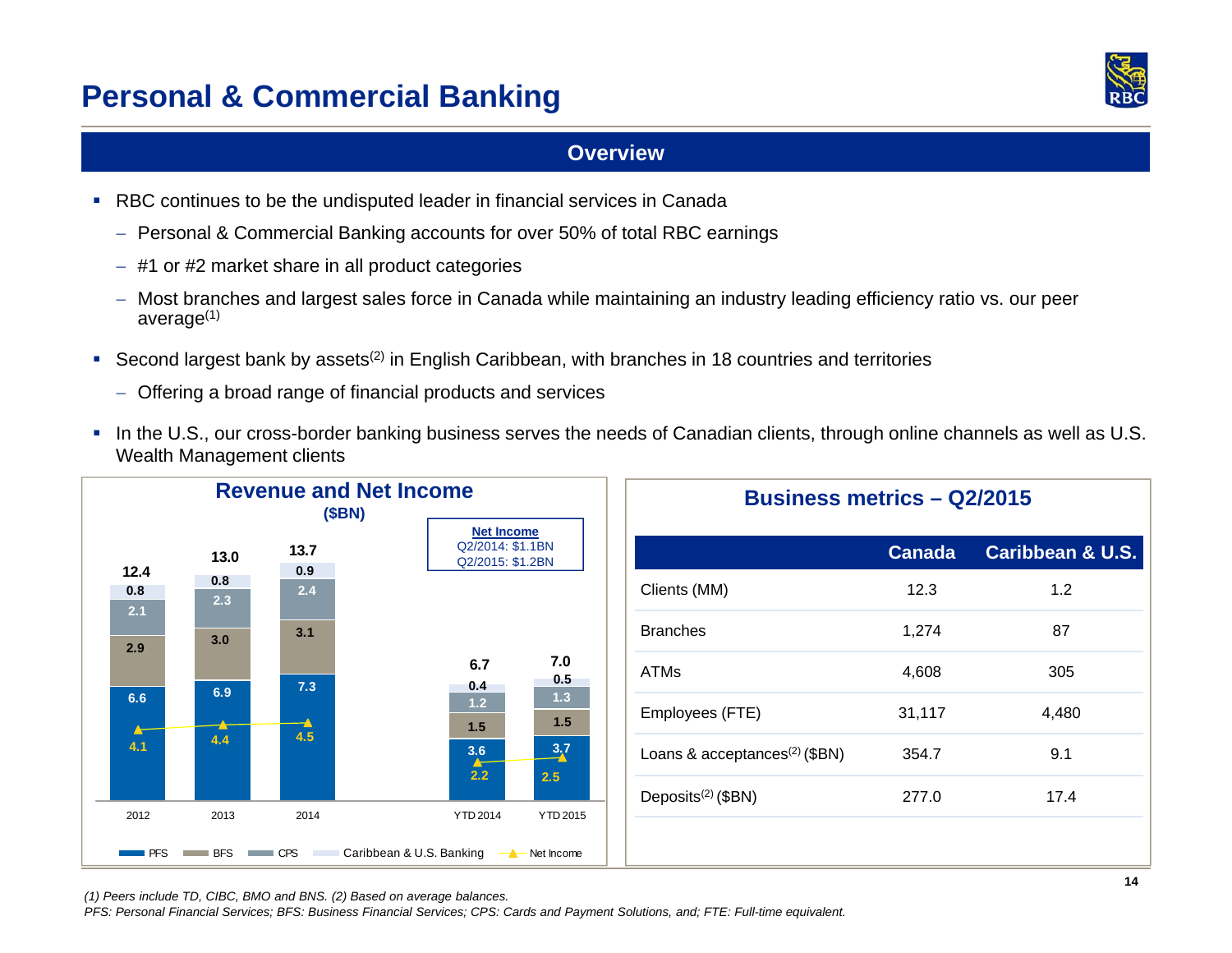### **Personal & Commercial Banking**



#### **Overview**

- RBC continues to be the undisputed leader in financial services in Canada
	- $-$  Personal & Commercial Banking accounts for over 50% of total RBC earnings
	- #1 or #2 market share in all product categories
	- Most branches and largest sales force in Canada while maintaining an industry leading efficiency ratio vs. our peer average(1)
- Second largest bank by assets<sup>(2)</sup> in English Caribbean, with branches in 18 countries and territories
	- Offering a broad range of financial products and services
- $\blacksquare$ In the U.S., our cross-border banking business serves the needs of Canadian clients, through online channels as well as U.S. Wealth Management clients

|            |            | (SBN)       | <b>Revenue and Net Income</b>                             | <b>Business metrics - Q2/2015</b>         |               |                             |
|------------|------------|-------------|-----------------------------------------------------------|-------------------------------------------|---------------|-----------------------------|
| 12.4       | 13.0       | 13.7<br>0.9 | <b>Net Income</b><br>Q2/2014: \$1.1BN<br>Q2/2015: \$1.2BN |                                           | <b>Canada</b> | <b>Caribbean &amp; U.S.</b> |
| 0.8<br>2.1 | 0.8<br>2.3 | 2.4         |                                                           | Clients (MM)                              | 12.3          | 1.2                         |
| 2.9        | 3.0        | 3.1         |                                                           | <b>Branches</b>                           | 1,274         | 87                          |
| 6.6        | 6.9        | 7.3         | 7.0<br>6.7<br>0.5<br>0.4<br>1.3                           | <b>ATMs</b>                               | 4,608         | 305                         |
|            | 4.4        | ⊣<br>4.5    | 1.2<br>1.5<br>$1.5$                                       | Employees (FTE)                           | 31,117        | 4,480                       |
| 4.1        |            |             | $\frac{3.7}{4}$<br>$\frac{3.6}{4}$<br>2.2<br>2.5          | Loans & acceptances <sup>(2)</sup> (\$BN) | 354.7         | 9.1                         |
| 2012       | 2013       | 2014        | YTD 2014<br>YTD 2015                                      | Deposits $(2)$ (\$BN)                     | 277.0         | 17.4                        |
| <b>PFS</b> | <b>BFS</b> | CPS         | Caribbean & U.S. Banking - A Net Income                   |                                           |               |                             |

*(1) Peers include TD, CIBC, BMO and BNS. (2) Based on average balances.* 

*PFS: Personal Financial Services; BFS: Business Financial Services; CPS: Cards and Payment Solutions, and; FTE: Full-time equivalent.*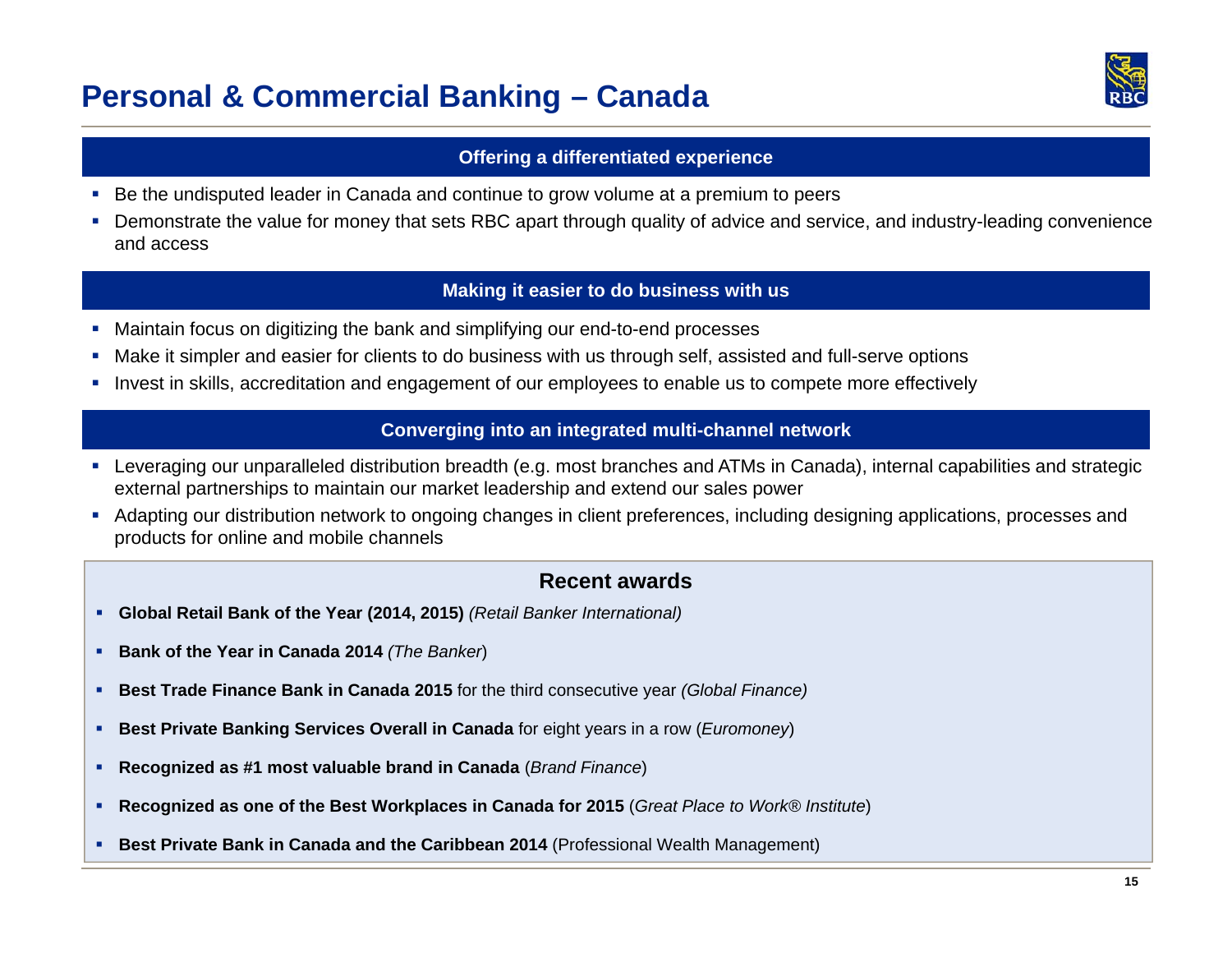### **Personal & Commercial Banking – Canada**



#### **Offering a differentiated experience**

- п Be the undisputed leader in Canada and continue to grow volume at a premium to peers
- $\blacksquare$  Demonstrate the value for money that sets RBC apart through quality of advice and service, and industry-leading convenience and access

#### **Making it easier to do business with us**

- $\blacksquare$ Maintain focus on digitizing the bank and simplifying our end-to-end processes
- п Make it simpler and easier for clients to do business with us through self, assisted and full-serve options
- × Invest in skills, accreditation and engagement of our employees to enable us to compete more effectively

#### **Converging into an integrated multi-channel network**

- Leveraging our unparalleled distribution breadth (e.g. most branches and ATMs in Canada), internal capabilities and strategic external partnerships to maintain our market leadership and extend our sales power
- Adapting our distribution network to ongoing changes in client preferences, including designing applications, processes and products for online and mobile channels

#### **Recent awards**

- **Global Retail Bank of the Year (2014, 2015)** *(Retail Banker International)*
- **Bank of the Year in Canada 2014** *(The Banker*)
- **Best Trade Finance Bank in Canada 2015** for the third consecutive year *(Global Finance)*
- **Best Private Banking Services Overall in Canada** for eight years in a row (*Euromoney*)
- L **Recognized as #1 most valuable brand in Canada** (*Brand Finance*)
- г **Recognized as one of the Best Workplaces in Canada for 2015** (*Great Place to Work® Institute*)
- **Best Private Bank in Canada and the Caribbean 2014** (Professional Wealth Management)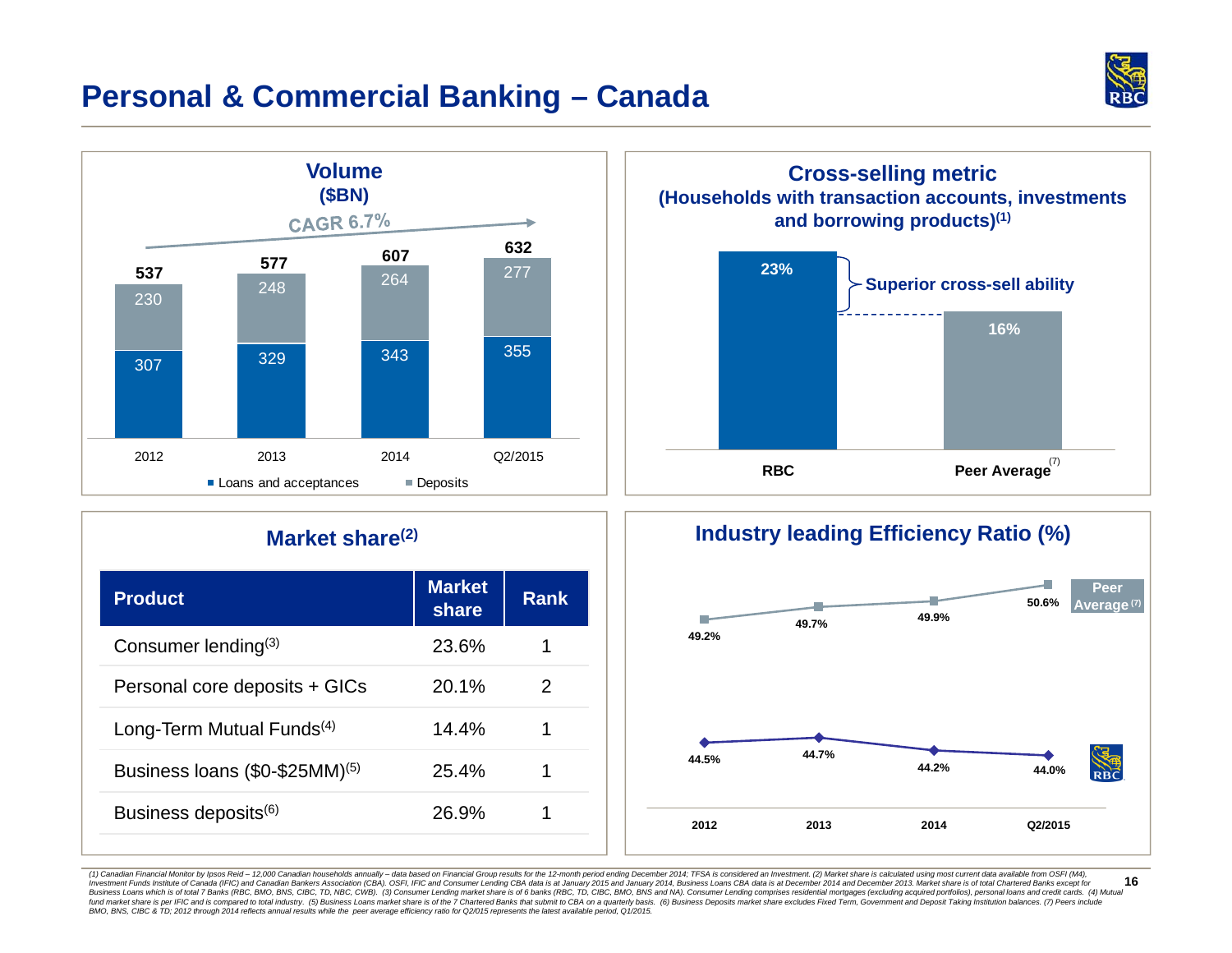

### **Personal & Commercial Banking – Canada**



#### **Market share(2)**

| <b>Product</b>                        | <b>Market</b><br>share | <b>Rank</b> |
|---------------------------------------|------------------------|-------------|
| Consumer lending $(3)$                | 23.6%                  |             |
| Personal core deposits + GICs         | 20.1%                  | 2           |
| Long-Term Mutual Funds <sup>(4)</sup> | 14.4%                  |             |
| Business Ioans $(\$0-\$25MM)^{(5)}$   | 25.4%                  |             |
| Business deposits <sup>(6)</sup>      | 26.9%                  |             |



#### **Industry leading Efficiency Ratio (%)**



**16**(1) Canadian Financial Monitor by Ipsos Reid - 12,000 Canadian households annually - data based on Financial Group results for the 12-month period ending December 2014; TFSA is considered an Investment. (2) Market share is Investment Funds Institute of Canada (IFIC) and Canadian Bankers Association (CBA). OSFI, IFIC and Consumer Lending CBA data is at January 2015 and January 2014, Business Loans CBA data is at December 2014 and December 201 Business Loans which is of total 7 Banks (RBC, BMO, BNS, CIBC, TD, NBC, CWB). (3) Consumer Lending market share is of 6 banks (RBC, TD, CIBC, BMO, BNS and NA). Consumer Lending comprises residential mortgages (excluding ac fund market share is per IFIC and is compared to total industry. (5) Business Logars market share is of the 7 Chartered Banks that submit to CBA on a quarterly basis. (6) Business Deposits market share is some secure that *BMO, BNS, CIBC & TD; 2012 through 2014 reflects annual results while the peer average efficiency ratio for Q2/015 represents the latest available period, Q1/2015.*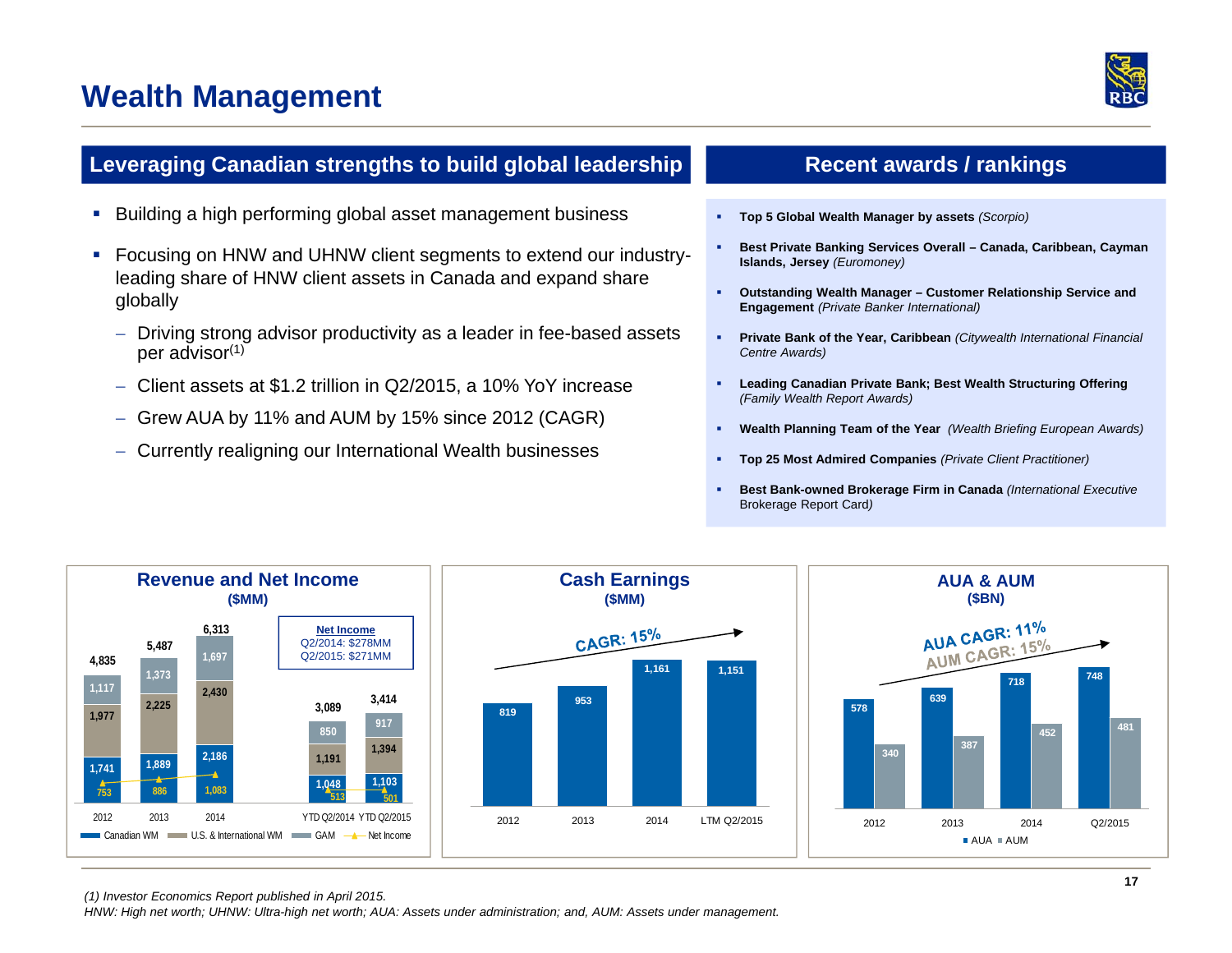### **Wealth Management**



#### **Leveraging Canadian strengths to build global leadership**

- a, Building a high performing global asset management business
- $\blacksquare$  Focusing on HNW and UHNW client segments to extend our industryleading share of HNW client assets in Canada and expand share globally
	- Driving strong advisor productivity as a leader in fee-based assets per advisor(1)
	- Client assets at \$1.2 trillion in Q2/2015, a 10% YoY increase
	- $-$  Grew AUA by 11% and AUM by 15% since 2012 (CAGR)
	- Currently realigning our International Wealth businesses

#### **Recent awards / rankings**

- **Top 5 Global Wealth Manager by assets** *(Scorpio)*
- г **Best Private Banking Services Overall – Canada, Caribbean, Cayman Islands, Jersey** *(Euromoney)*
- a. **Outstanding Wealth Manager – Customer Relationship Service and Engagement** *(Private Banker International)*
- **Private Bank of the Year, Caribbean** *(Citywealth International Financial Centre Awards)*
- **Leading Canadian Private Bank; Best Wealth Structuring Offering**  *(Family Wealth Report Awards)*
- **Wealth Planning Team of the Year** *(Wealth Briefing European Awards)*
- **Top 25 Most Admired Companies** *(Private Client Practitioner)*
- г **Best Bank-owned Brokerage Firm in Canada** *(International Executive*  Brokerage Report Card*)*



*(1) Investor Economics Report published in April 2015. HNW: High net worth; UHNW: Ultra-high net worth; AUA: Assets under administration; and, AUM: Assets under management.*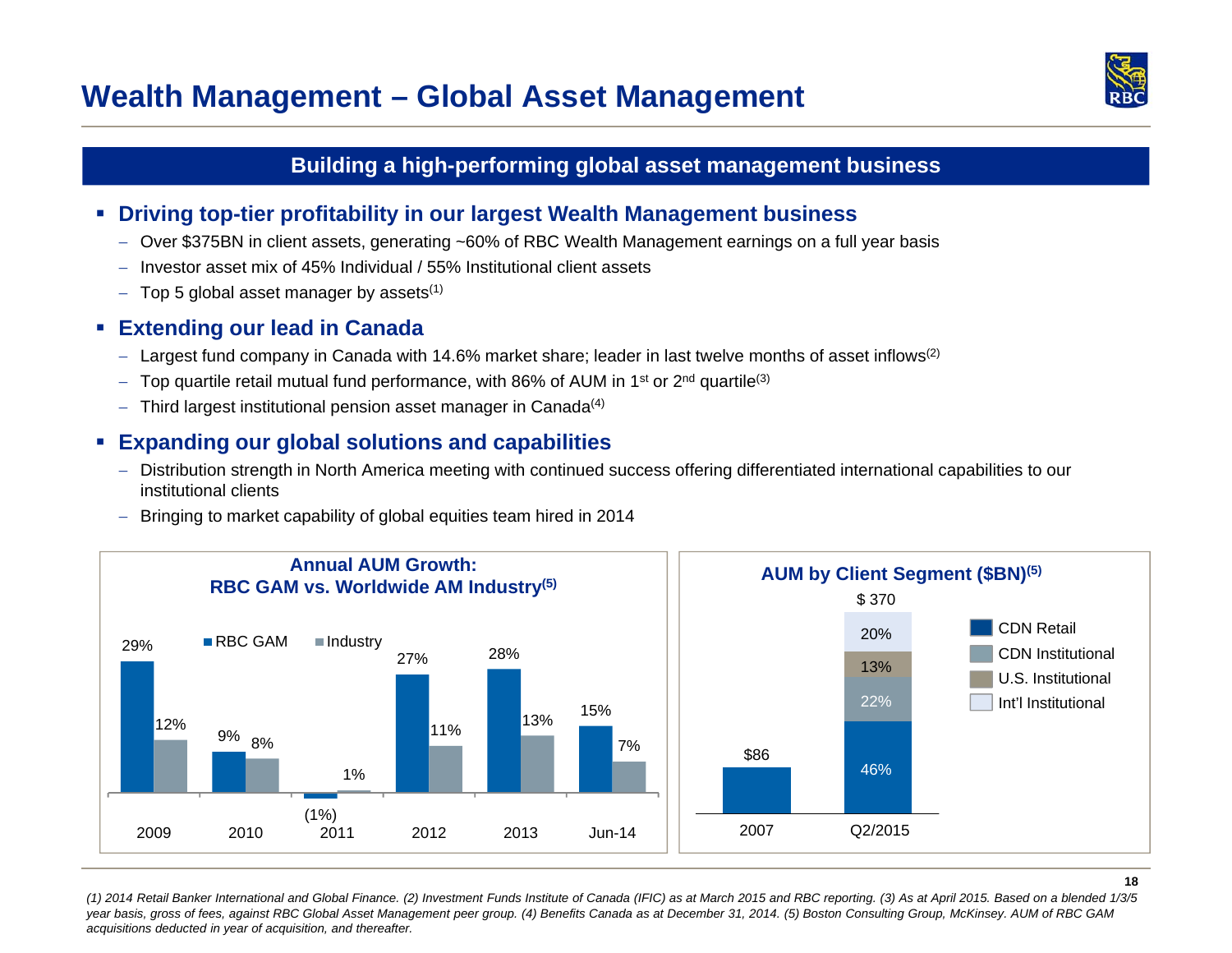### **Wealth Management – Global Asset Management**



#### **Building a high-performing global asset management business**

- **Driving top-tier profitability in our largest Wealth Management business**
	- Over \$375BN in client assets, generating ~60% of RBC Wealth Management earnings on a full year basis
	- $-$  Investor asset mix of 45% Individual / 55% Institutional client assets
	- $-$  Top 5 global asset manager by assets $^{\left(1\right)}$

#### **Extending our lead in Canada**

- $-$  Largest fund company in Canada with 14.6% market share; leader in last twelve months of asset inflows<sup>(2)</sup>
- $-$  Top quartile retail mutual fund performance, with 86% of AUM in 1<sup>st</sup> or 2<sup>nd</sup> quartile<sup>(3)</sup>
- $-$  Third largest institutional pension asset manager in Canada $^{(4)}$

#### $\mathcal{L}_{\mathcal{A}}$ **Expanding our global solutions and capabilities**

- $-$  Distribution strength in North America meeting with continued success offering differentiated international capabilities to our institutional clients
- Bringing to market capability of global equities team hired in 2014



*(1) 2014 Retail Banker International and Global Finance. (2) Investment Funds Institute of Canada (IFIC) as at March 2015 and RBC reporting. (3) As at April 2015. Based on a blended 1/3/5 year basis, gross of fees, against RBC Global Asset Management peer group. (4) Benefits Canada as at December 31, 2014. (5) Boston Consulting Group, McKinsey. AUM of RBC GAM acquisitions deducted in year of acquisition, and thereafter.*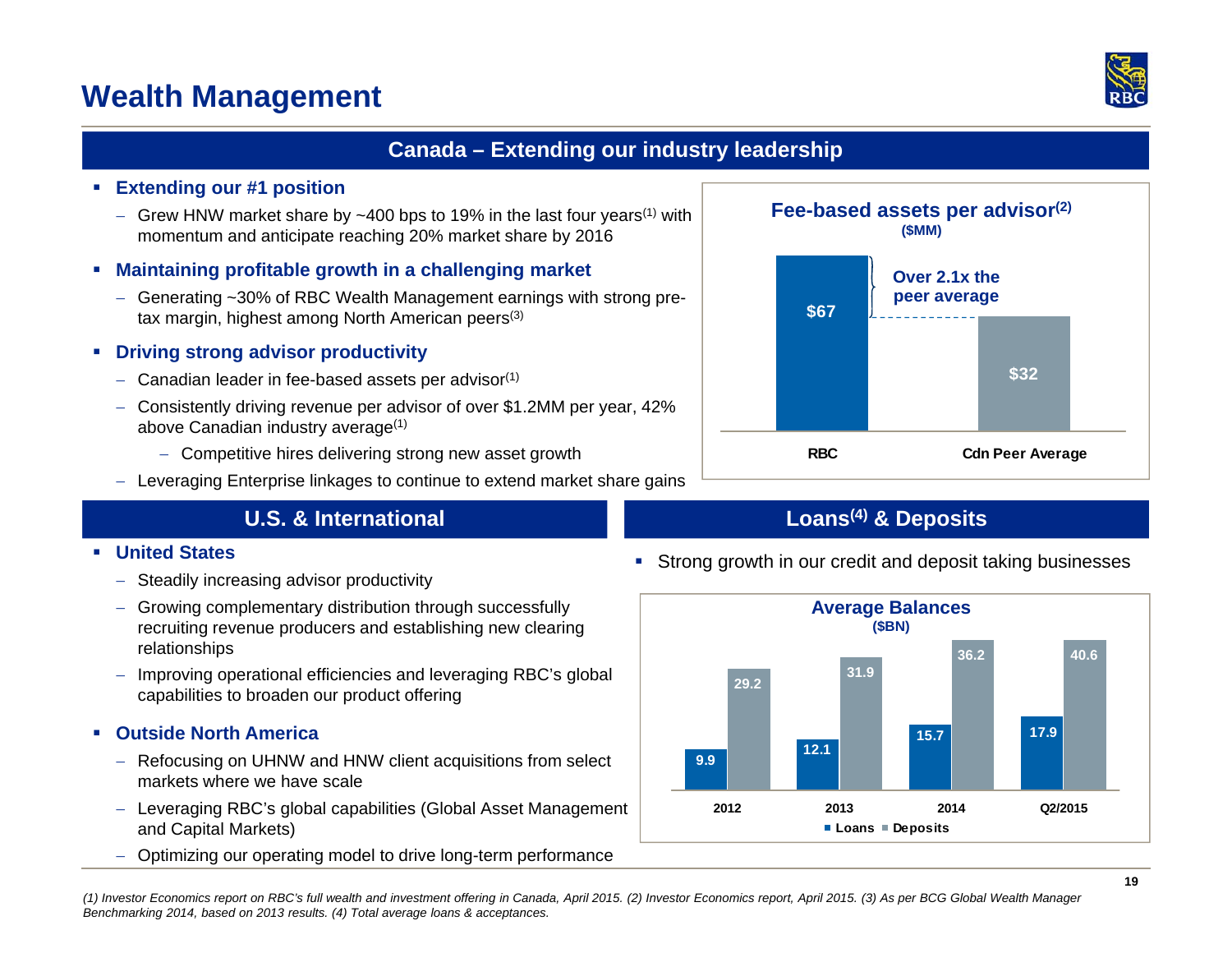### **Wealth Management**

#### **Canada – Extending our industry leadership**

#### **Extending our #1 position**

- $-$  Grew HNW market share by  $\sim$ 400 bps to 19% in the last four years<sup>(1)</sup> with momentum and anticipate reaching 20% market share by 2016
- **Maintaining profitable growth in a challenging market**
	- Generating ~30% of RBC Wealth Management earnings with strong pretax margin, highest among North American peers<sup>(3)</sup>

#### **Driving strong advisor productivity**

- $-$  Canadian leader in fee-based assets per advisor $^{\left(1\right)}$
- Consistently driving revenue per advisor of over \$1.2MM per year, 42% above Canadian industry average(1)
	- Competitive hires delivering strong new asset growth
- $-$  Leveraging Enterprise linkages to continue to extend market share gains

#### **U.S. & International**

#### **United States**

- $-$  Steadily increasing advisor productivity
- Growing complementary distribution through successfully recruiting revenue producers and establishing new clearing relationships
- Improving operational efficiencies and leveraging RBC's global capabilities to broaden our product offering

#### **Outside North America**

- Refocusing on UHNW and HNW client acquisitions from select markets where we have scale
- Leveraging RBC's global capabilities (Global Asset Management and Capital Markets)
- Optimizing our operating model to drive long-term performance



#### **Loans(4) & Deposits**



Strong growth in our credit and deposit taking businesses

*(1) Investor Economics report on RBC's full wealth and investment offering in Canada, April 2015. (2) Investor Economics report, April 2015. (3) As per BCG Global Wealth Manager Benchmarking 2014, based on 2013 results. (4) Total average loans & acceptances.*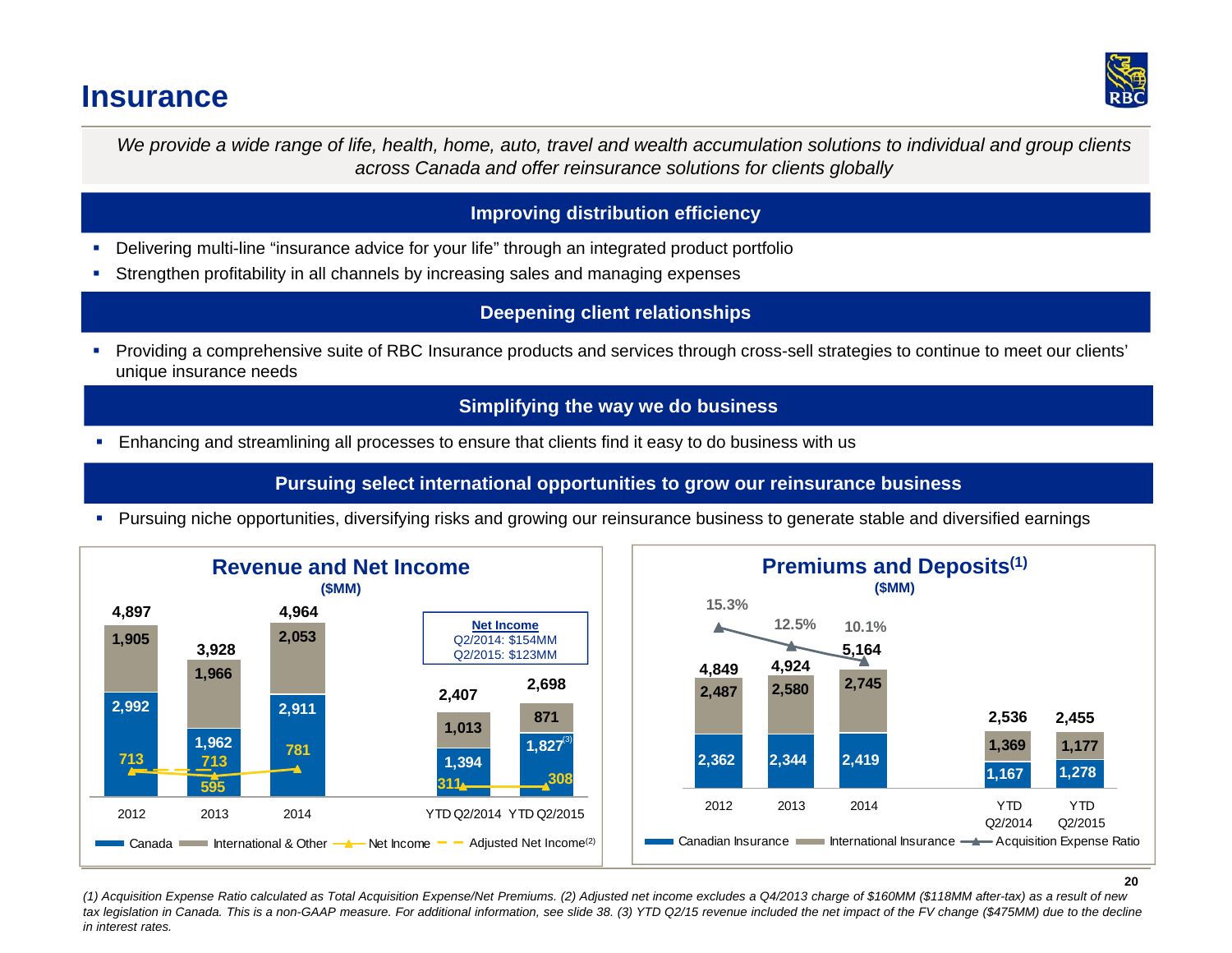### **Insurance**



*We provide a wide range of life, health, home, auto, travel and wealth accumulation solutions to individual and group clients across Canada and offer reinsurance solutions for clients globally*

#### **Improving distribution efficiency**

- a, Delivering multi-line "insurance advice for your life" through an integrated product portfolio
- г Strengthen profitability in all channels by increasing sales and managing expenses

#### **Deepening client relationships**

 Providing a comprehensive suite of RBC Insurance products and services through cross-sell strategies to continue to meet our clients' unique insurance needs

#### **Simplifying the way we do business**

Enhancing and streamlining all processes to ensure that clients find it easy to do business with us

**Pursuing select international opportunities to grow our reinsurance business** 

Pursuing niche opportunities, diversifying risks and growing our reinsurance business to generate stable and diversified earnings



*(1) Acquisition Expense Ratio calculated as Total Acquisition Expense/Net Premiums. (2) Adjusted net income excludes a Q4/2013 charge of \$160MM (\$118MM after-tax) as a result of new*  tax legislation in Canada. This is a non-GAAP measure. For additional information, see slide 38. (3) YTD Q2/15 revenue included the net impact of the FV change (\$475MM) due to the decline *in interest rates.*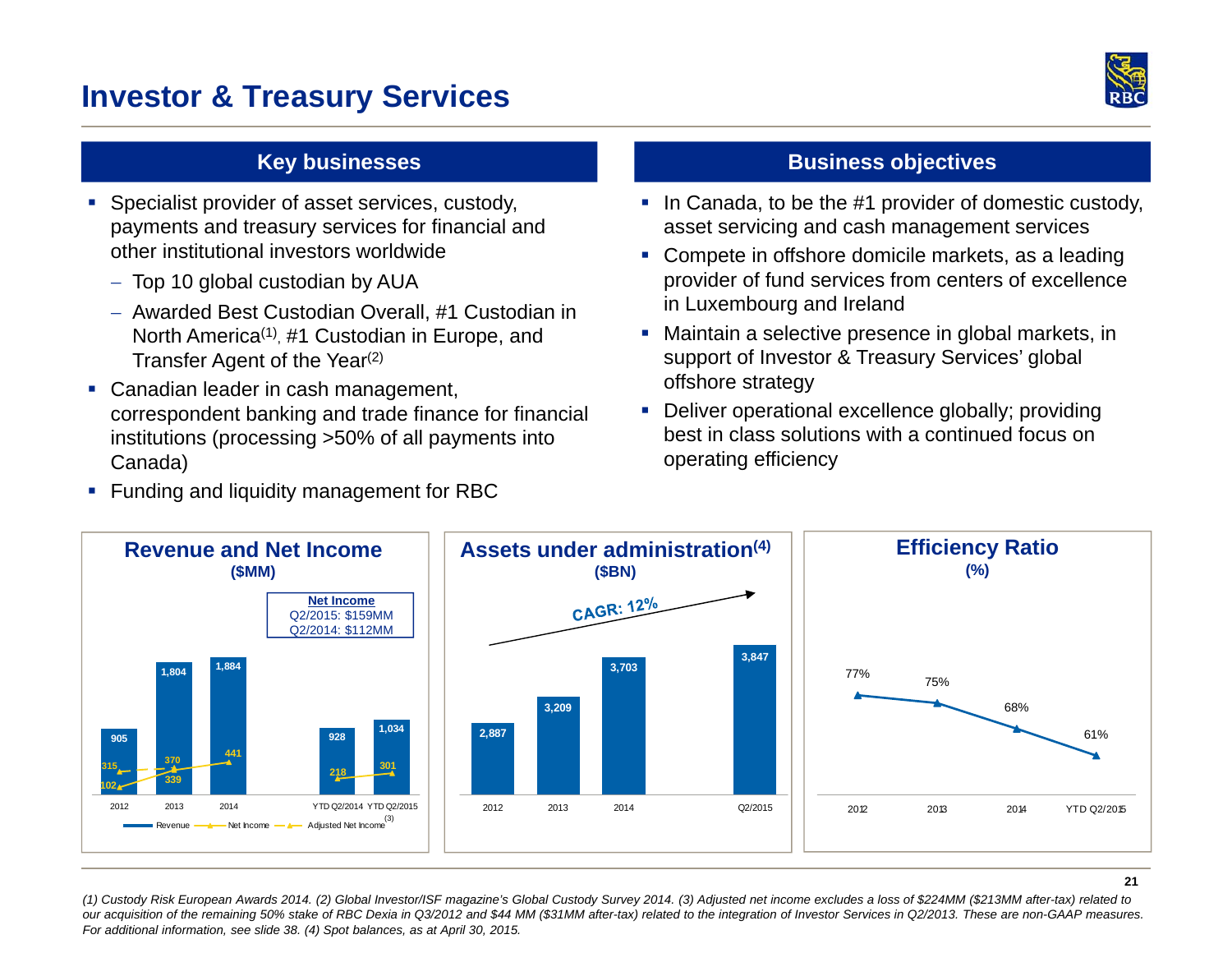### **Investor & Treasury Services**



- **Specialist provider of asset services, custody,** payments and treasury services for financial and other institutional investors worldwide
	- Top 10 global custodian by AUA
	- Awarded Best Custodian Overall, #1 Custodian in North America<sup>(1)</sup>, #1 Custodian in Europe, and Transfer Agent of the Year<sup>(2)</sup>
- **Canadian leader in cash management,** correspondent banking and trade finance for financial institutions (processing >50% of all payments into Canada)
- **Funding and liquidity management for RBC**

#### **Key businesses Businesses Business objectives**

- In Canada, to be the #1 provider of domestic custody, asset servicing and cash management services
- **Compete in offshore domicile markets, as a leading** provider of fund services from centers of excellence in Luxembourg and Ireland
- Maintain a selective presence in global markets, in support of Investor & Treasury Services' global offshore strategy
- **Deliver operational excellence globally; providing** best in class solutions with a continued focus on operating efficiency



*(1) Custody Risk European Awards 2014. (2) Global Investor/ISF magazine's Global Custody Survey 2014. (3) Adjusted net income excludes a loss of \$224MM (\$213MM after-tax) related to our acquisition of the remaining 50% stake of RBC Dexia in Q3/2012 and \$44 MM (\$31MM after-tax) related to the integration of Investor Services in Q2/2013. These are non-GAAP measures. For additional information, see slide 38. (4) Spot balances, as at April 30, 2015.*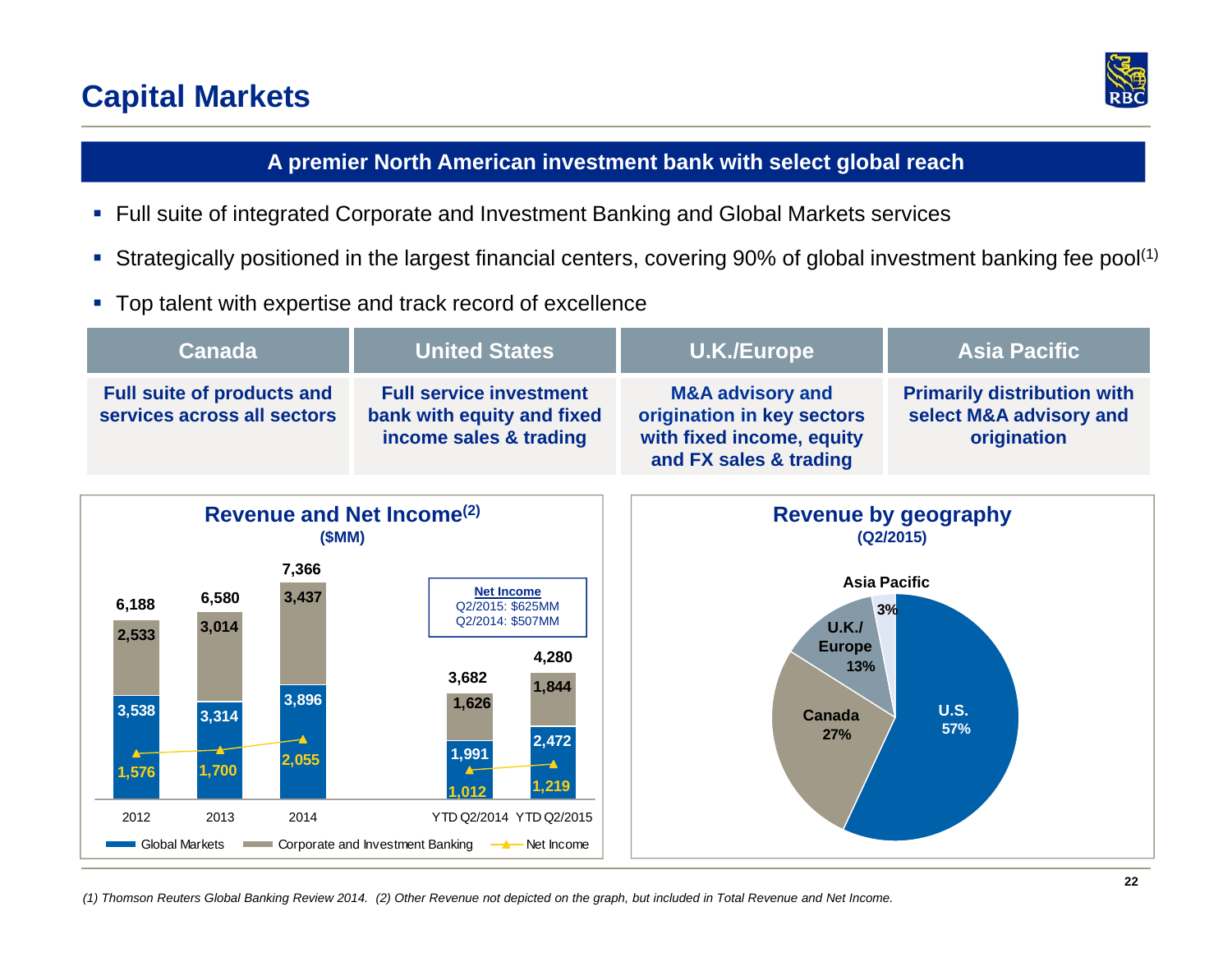### **Capital Markets**



#### **A premier North American investment bank with select global reach**

- Full suite of integrated Corporate and Investment Banking and Global Markets services
- $\blacksquare$ Strategically positioned in the largest financial centers, covering 90% of global investment banking fee pool<sup>(1)</sup>
- Top talent with expertise and track record of excellence

| <b>Canada</b>                                                                                                 |                                          | <b>United States</b>                                                                                                                                                                                                             | <b>U.K./Europe</b>                                                                                               | <b>Asia Pacific</b>                                                          |
|---------------------------------------------------------------------------------------------------------------|------------------------------------------|----------------------------------------------------------------------------------------------------------------------------------------------------------------------------------------------------------------------------------|------------------------------------------------------------------------------------------------------------------|------------------------------------------------------------------------------|
| <b>Full suite of products and</b><br>services across all sectors                                              |                                          | <b>Full service investment</b><br>bank with equity and fixed<br>income sales & trading                                                                                                                                           | <b>M&amp;A advisory and</b><br>origination in key sectors<br>with fixed income, equity<br>and FX sales & trading | <b>Primarily distribution with</b><br>select M&A advisory and<br>origination |
| Revenue and Net Income <sup>(2)</sup><br>(SMM)                                                                |                                          |                                                                                                                                                                                                                                  | <b>Revenue by geography</b><br>(Q2/2015)                                                                         |                                                                              |
| 6,580<br>6,188<br>3,014<br>2,533<br>3,538<br>3,314<br>1,700<br>1,576<br>2012<br>2013<br><b>Global Markets</b> | 7,366<br>3,437<br>3,896<br>2,055<br>2014 | <b>Net Income</b><br>Q2/2015: \$625MM<br>Q2/2014: \$507MM<br>4,280<br>3,682<br>1,844<br>1,626<br>2,472<br>1,991<br>1,219<br>1.012<br>YTD Q2/2014 YTD Q2/2015<br>Corporate and Investment Banking<br>$\longrightarrow$ Net Income | U.K.J<br><b>Europe</b><br>13%<br>Canada<br>27%                                                                   | <b>Asia Pacific</b><br>3%<br><b>U.S.</b><br>57%                              |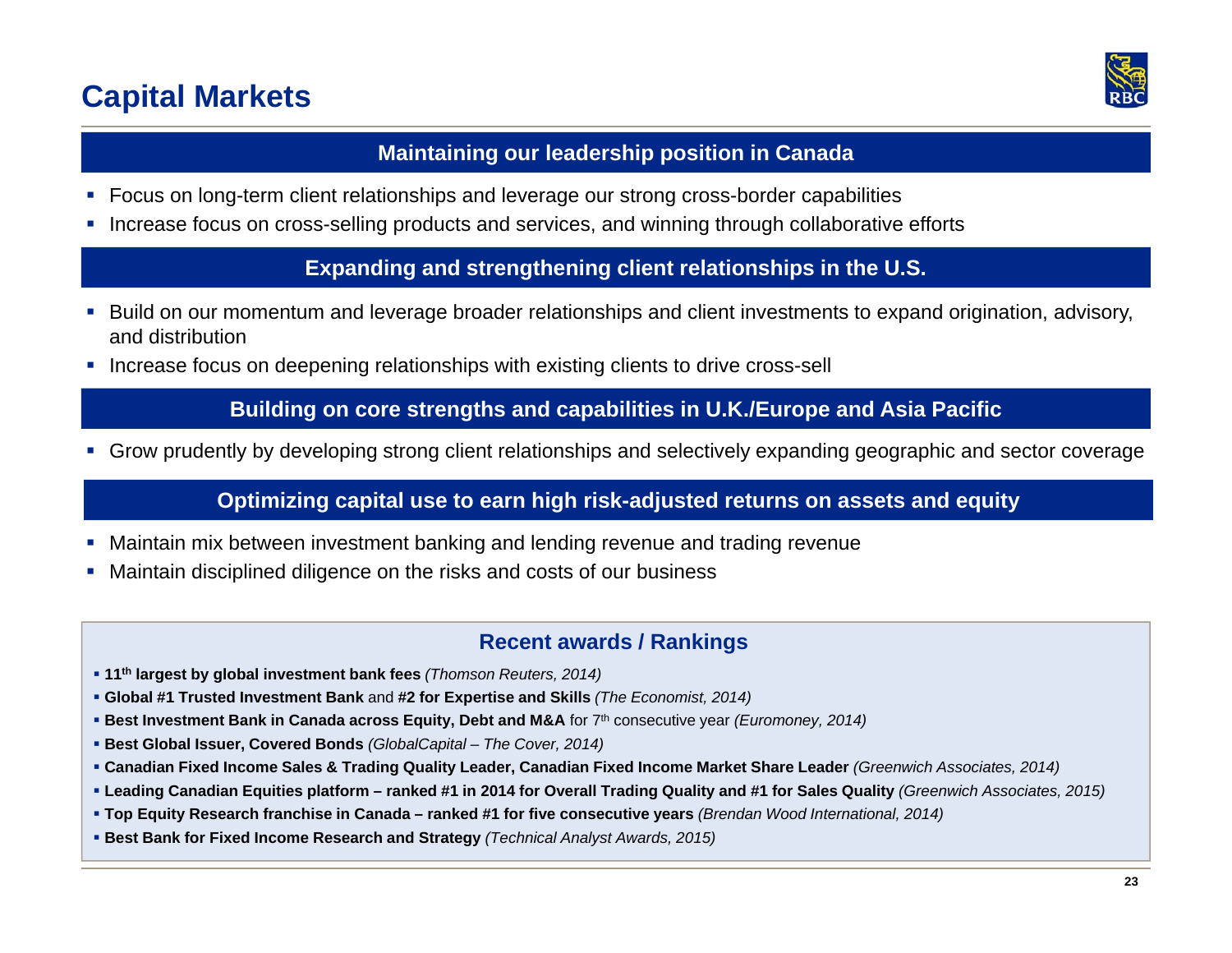### **Capital Markets**



#### **Maintaining our leadership position in Canada**

- $\blacksquare$ Focus on long-term client relationships and leverage our strong cross-border capabilities
- Г Increase focus on cross-selling products and services, and winning through collaborative efforts

**Expanding and strengthening client relationships in the U.S.**

- $\blacksquare$  Build on our momentum and leverage broader relationships and client investments to expand origination, advisory, and distribution
- Increase focus on deepening relationships with existing clients to drive cross-sell

#### **Building on core strengths and capabilities in U.K./Europe and Asia Pacific**

Grow prudently by developing strong client relationships and selectively expanding geographic and sector coverage

#### **Optimizing capital use to earn high risk-adjusted returns on assets and equity**

- $\mathcal{L}_{\mathcal{A}}$ Maintain mix between investment banking and lending revenue and trading revenue
- Maintain disciplined diligence on the risks and costs of our business

#### **Recent awards / Rankings**

- **11th largest by global investment bank fees** *(Thomson Reuters, 2014)*
- **Global #1 Trusted Investment Bank** and **#2 for Expertise and Skills** *(The Economist, 2014)*
- **Best Investment Bank in Canada across Equity, Debt and M&A** for 7<sup>th</sup> consecutive year *(Euromoney, 2014)* **B**
- **Best Global Issuer, Covered Bonds** *(GlobalCapital – The Cover, 2014)*
- **Canadian Fixed Income Sales & Trading Quality Leader, Canadian Fixed Income Market Share Leader** *(Greenwich Associates, 2014)*
- **Leading Canadian Equities platform – ranked #1 in 2014 for Overall Trading Quality and #1 for Sales Quality** *(Greenwich Associates, 2015)*
- **Top Equity Research franchise in Canada – ranked #1 for five consecutive years** *(Brendan Wood International, 2014)*
- **Best Bank for Fixed Income Research and Strategy** *(Technical Analyst Awards, 2015)*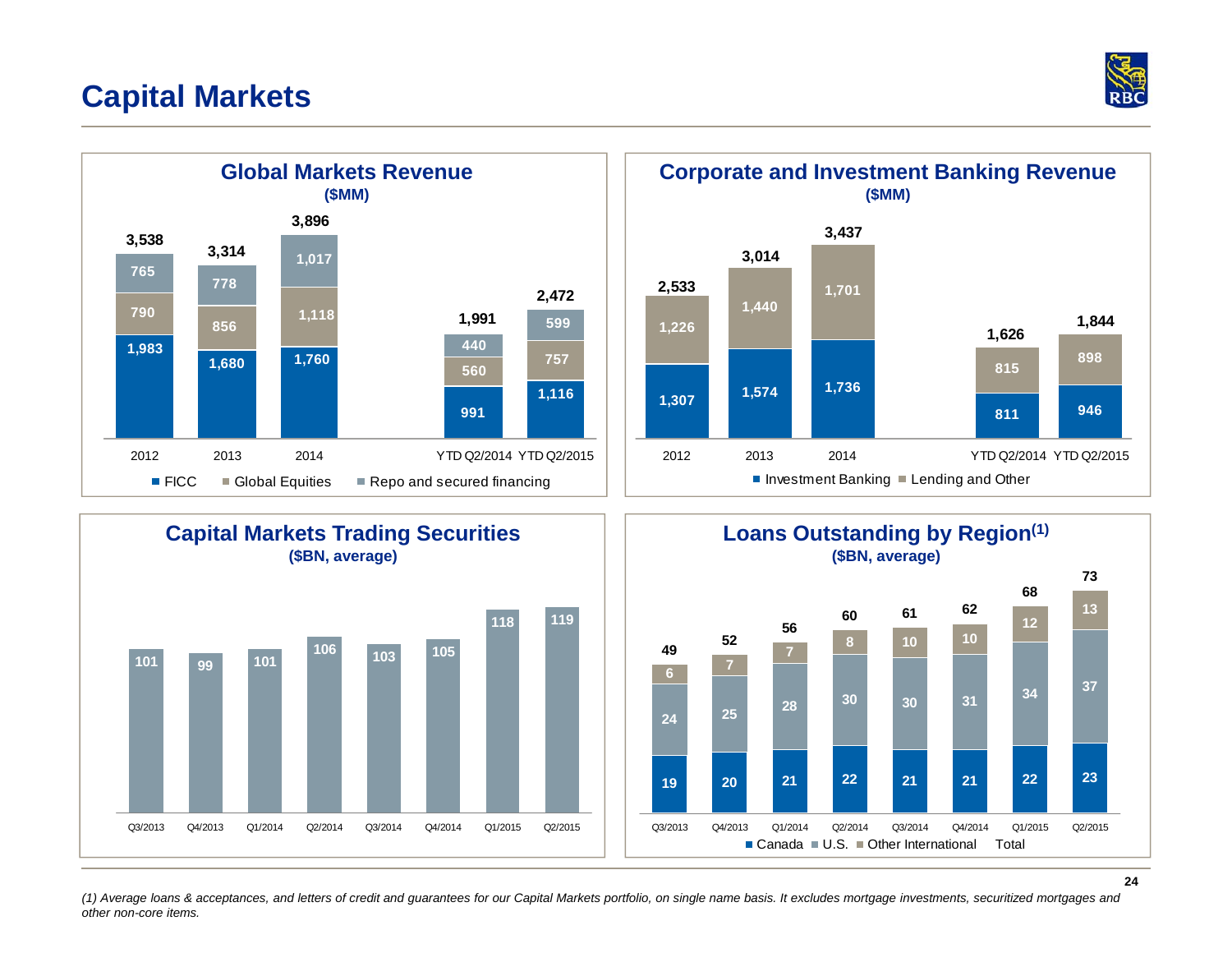### **Capital Markets**











*(1) Average loans & acceptances, and letters of credit and guarantees for our Capital Markets portfolio, on single name basis. It excludes mortgage investments, securitized mortgages and other non-core items.*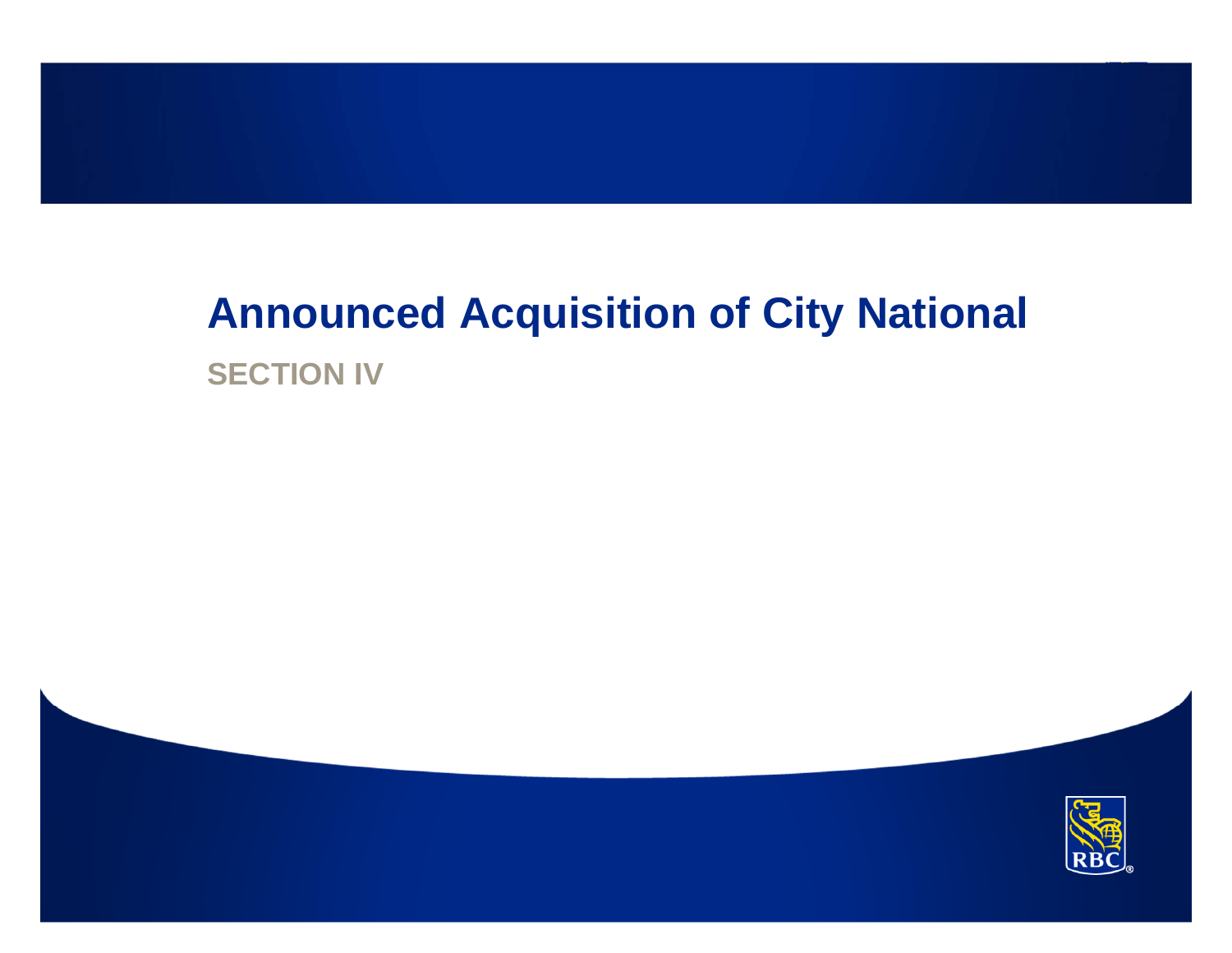## **Announced Acquisition of City National SECTION IV**

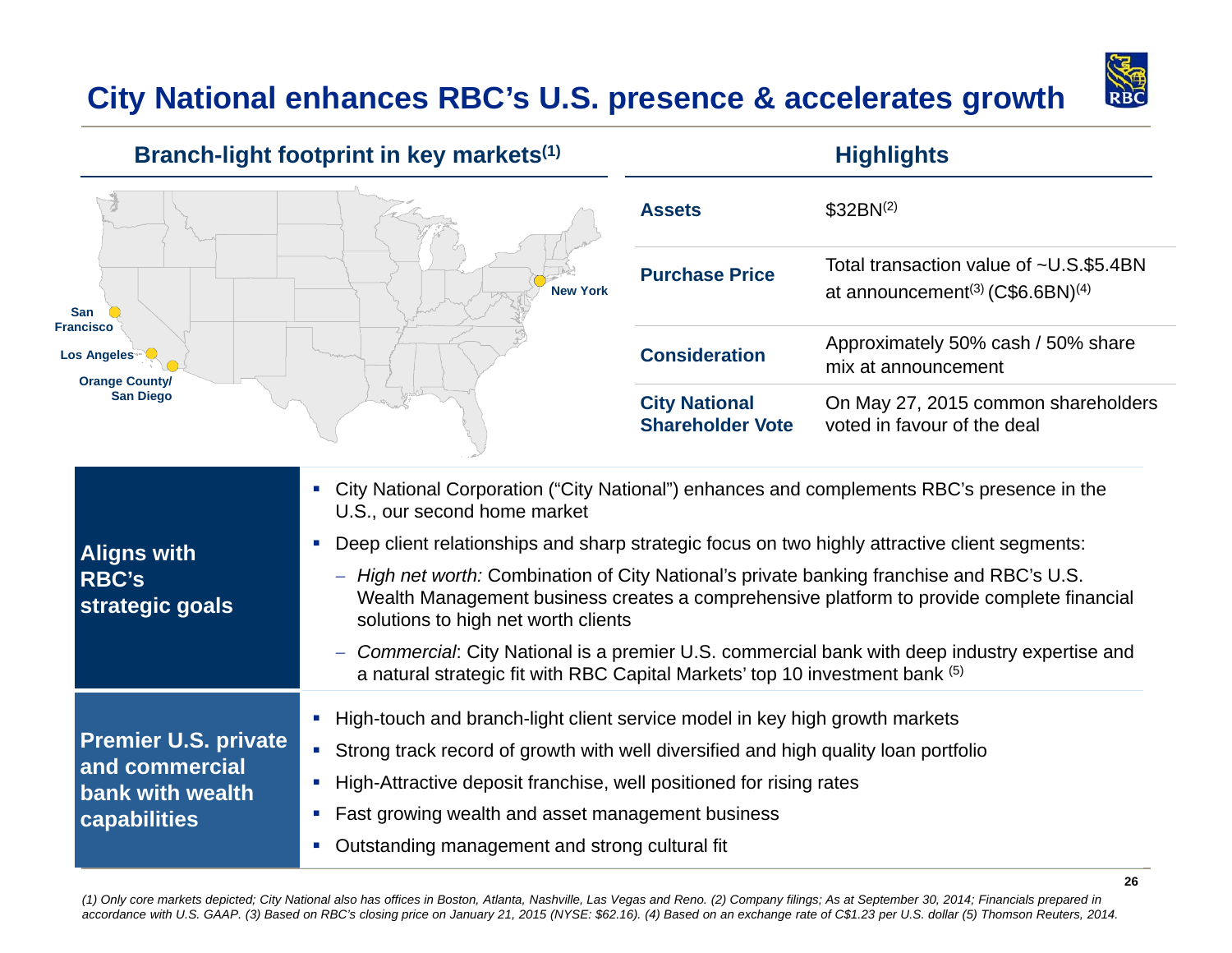### **City National enhances RBC's U.S. presence & accelerates growth**



#### **Branch-light footprint in key markets** (1) **Highlights Highlights**



| <b>Assets</b>                                   | $$32BN^{(2)}$$                                                                                       |
|-------------------------------------------------|------------------------------------------------------------------------------------------------------|
| <b>Purchase Price</b>                           | Total transaction value of ~U.S.\$5.4BN<br>at announcement <sup>(3)</sup> $(C$6.6BN)$ <sup>(4)</sup> |
| <b>Consideration</b>                            | Approximately 50% cash / 50% share<br>mix at announcement                                            |
| <b>City National</b><br><b>Shareholder Vote</b> | On May 27, 2015 common shareholders<br>voted in favour of the deal                                   |

| <b>Aligns with</b><br><b>RBC's</b><br>strategic goals             | • City National Corporation ("City National") enhances and complements RBC's presence in the<br>U.S., our second home market<br>Deep client relationships and sharp strategic focus on two highly attractive client segments:<br>High net worth: Combination of City National's private banking franchise and RBC's U.S.<br>$\overline{\phantom{m}}$<br>Wealth Management business creates a comprehensive platform to provide complete financial<br>solutions to high net worth clients<br>Commercial: City National is a premier U.S. commercial bank with deep industry expertise and<br>$\sim$ |
|-------------------------------------------------------------------|----------------------------------------------------------------------------------------------------------------------------------------------------------------------------------------------------------------------------------------------------------------------------------------------------------------------------------------------------------------------------------------------------------------------------------------------------------------------------------------------------------------------------------------------------------------------------------------------------|
| <b>Premier U.S. private</b><br>and commercial<br>bank with wealth | a natural strategic fit with RBC Capital Markets' top 10 investment bank (5)<br>• High-touch and branch-light client service model in key high growth markets<br>Strong track record of growth with well diversified and high quality loan portfolio<br>• High-Attractive deposit franchise, well positioned for rising rates                                                                                                                                                                                                                                                                      |
| capabilities                                                      | Fast growing wealth and asset management business<br>Outstanding management and strong cultural fit                                                                                                                                                                                                                                                                                                                                                                                                                                                                                                |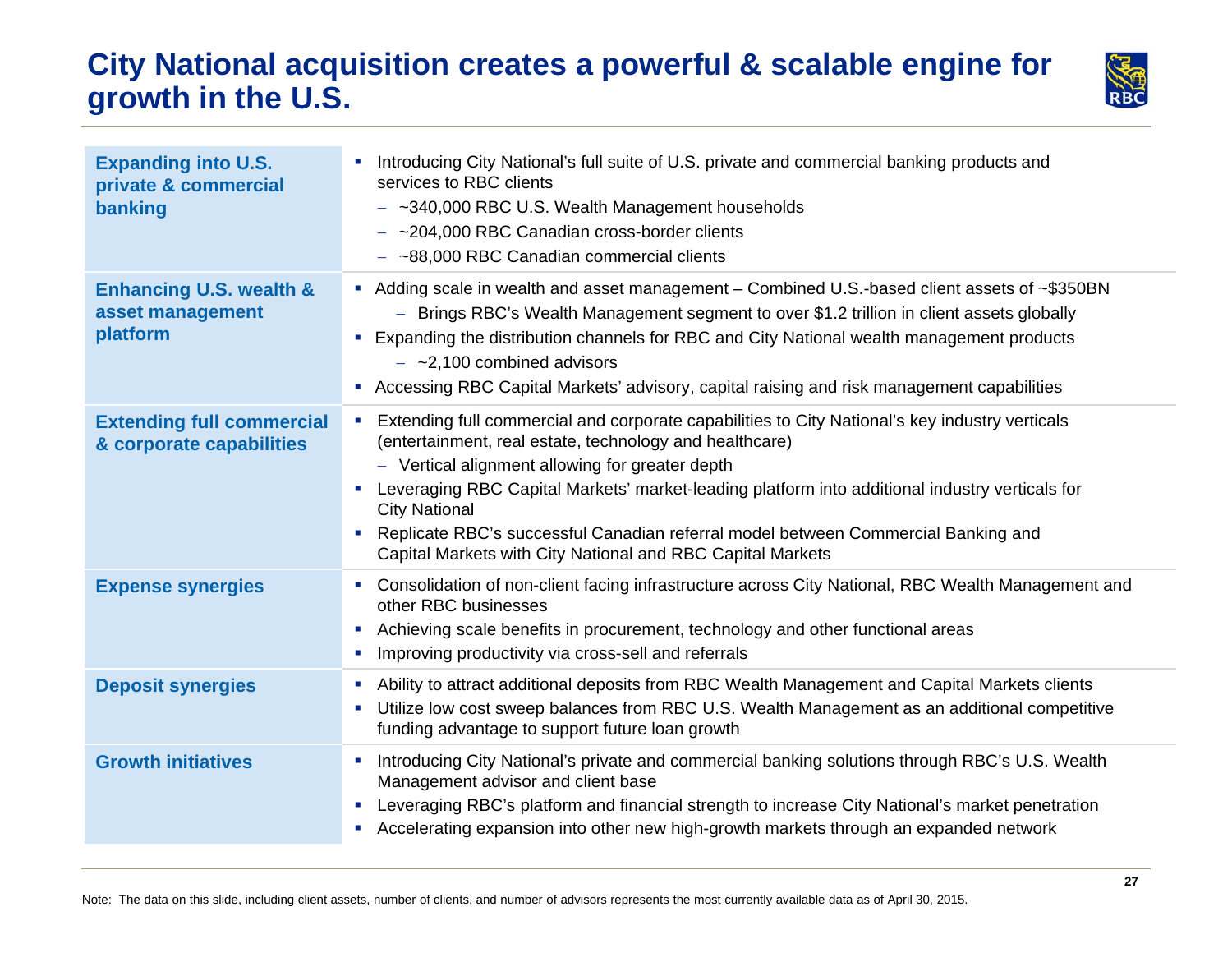### **City National acquisition creates a powerful & scalable engine for growth in the U.S.**



| <b>Expanding into U.S.</b><br>private & commercial<br>banking      | Introducing City National's full suite of U.S. private and commercial banking products and<br>services to RBC clients<br>$-$ ~340,000 RBC U.S. Wealth Management households<br>$-$ ~204,000 RBC Canadian cross-border clients<br>$-$ ~88,000 RBC Canadian commercial clients                                                                                                                                                                                                                    |
|--------------------------------------------------------------------|-------------------------------------------------------------------------------------------------------------------------------------------------------------------------------------------------------------------------------------------------------------------------------------------------------------------------------------------------------------------------------------------------------------------------------------------------------------------------------------------------|
| <b>Enhancing U.S. wealth &amp;</b><br>asset management<br>platform | Adding scale in wealth and asset management – Combined U.S.-based client assets of ~\$350BN<br>- Brings RBC's Wealth Management segment to over \$1.2 trillion in client assets globally<br>Expanding the distribution channels for RBC and City National wealth management products<br>$-$ ~2,100 combined advisors<br>Accessing RBC Capital Markets' advisory, capital raising and risk management capabilities                                                                               |
| <b>Extending full commercial</b><br>& corporate capabilities       | Extending full commercial and corporate capabilities to City National's key industry verticals<br>×,<br>(entertainment, real estate, technology and healthcare)<br>- Vertical alignment allowing for greater depth<br>Leveraging RBC Capital Markets' market-leading platform into additional industry verticals for<br><b>City National</b><br>Replicate RBC's successful Canadian referral model between Commercial Banking and<br>Capital Markets with City National and RBC Capital Markets |
| <b>Expense synergies</b>                                           | Consolidation of non-client facing infrastructure across City National, RBC Wealth Management and<br>other RBC businesses<br>Achieving scale benefits in procurement, technology and other functional areas<br>п<br>Improving productivity via cross-sell and referrals<br>ш                                                                                                                                                                                                                    |
| <b>Deposit synergies</b>                                           | Ability to attract additional deposits from RBC Wealth Management and Capital Markets clients<br>$\overline{\phantom{a}}$<br>Utilize low cost sweep balances from RBC U.S. Wealth Management as an additional competitive<br>$\blacksquare$<br>funding advantage to support future loan growth                                                                                                                                                                                                  |
| <b>Growth initiatives</b>                                          | Introducing City National's private and commercial banking solutions through RBC's U.S. Wealth<br>$\blacksquare$<br>Management advisor and client base<br>Leveraging RBC's platform and financial strength to increase City National's market penetration<br>$\sim$<br>Accelerating expansion into other new high-growth markets through an expanded network<br>ш                                                                                                                               |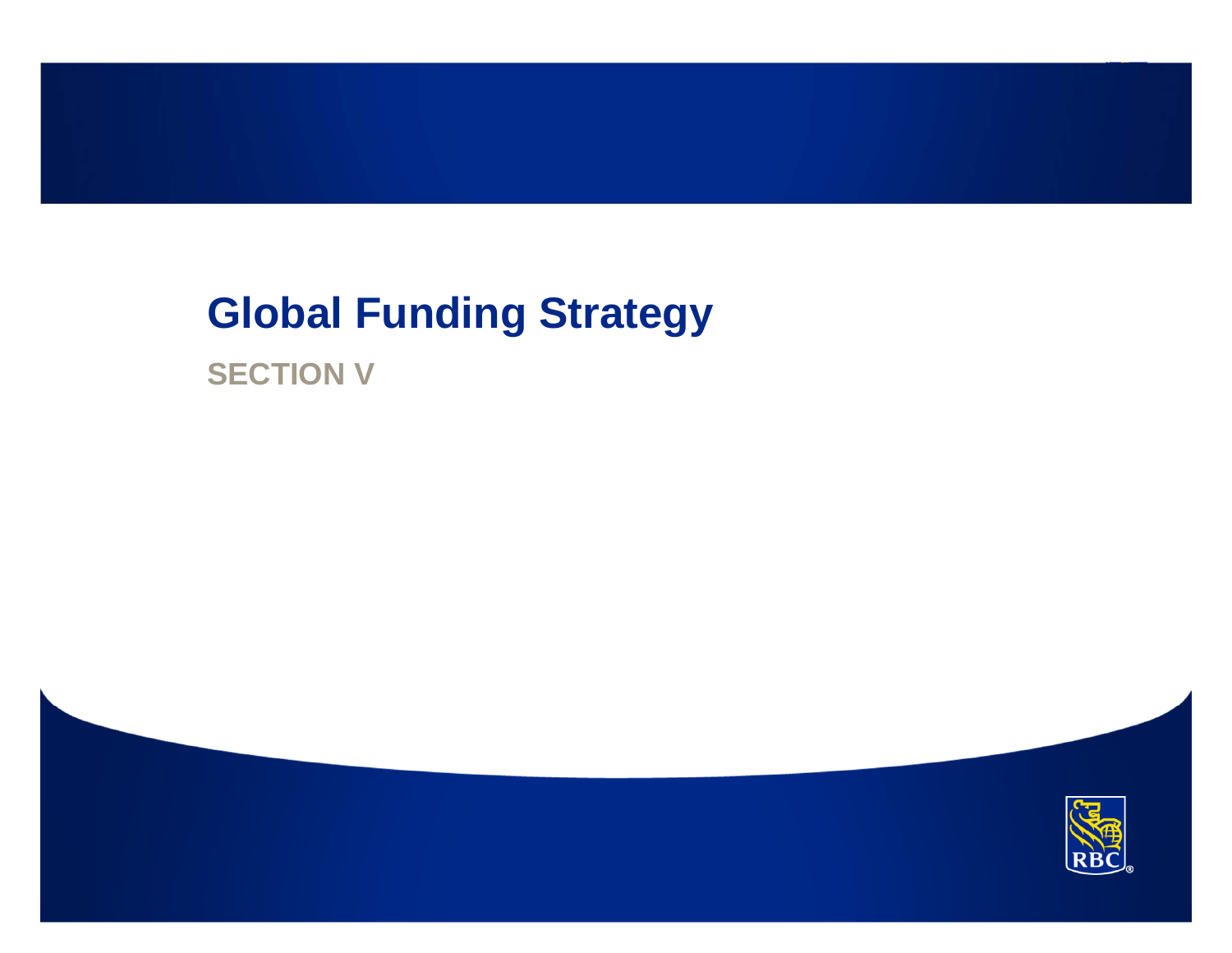## **Global Funding Strategy**

**SECTION V**

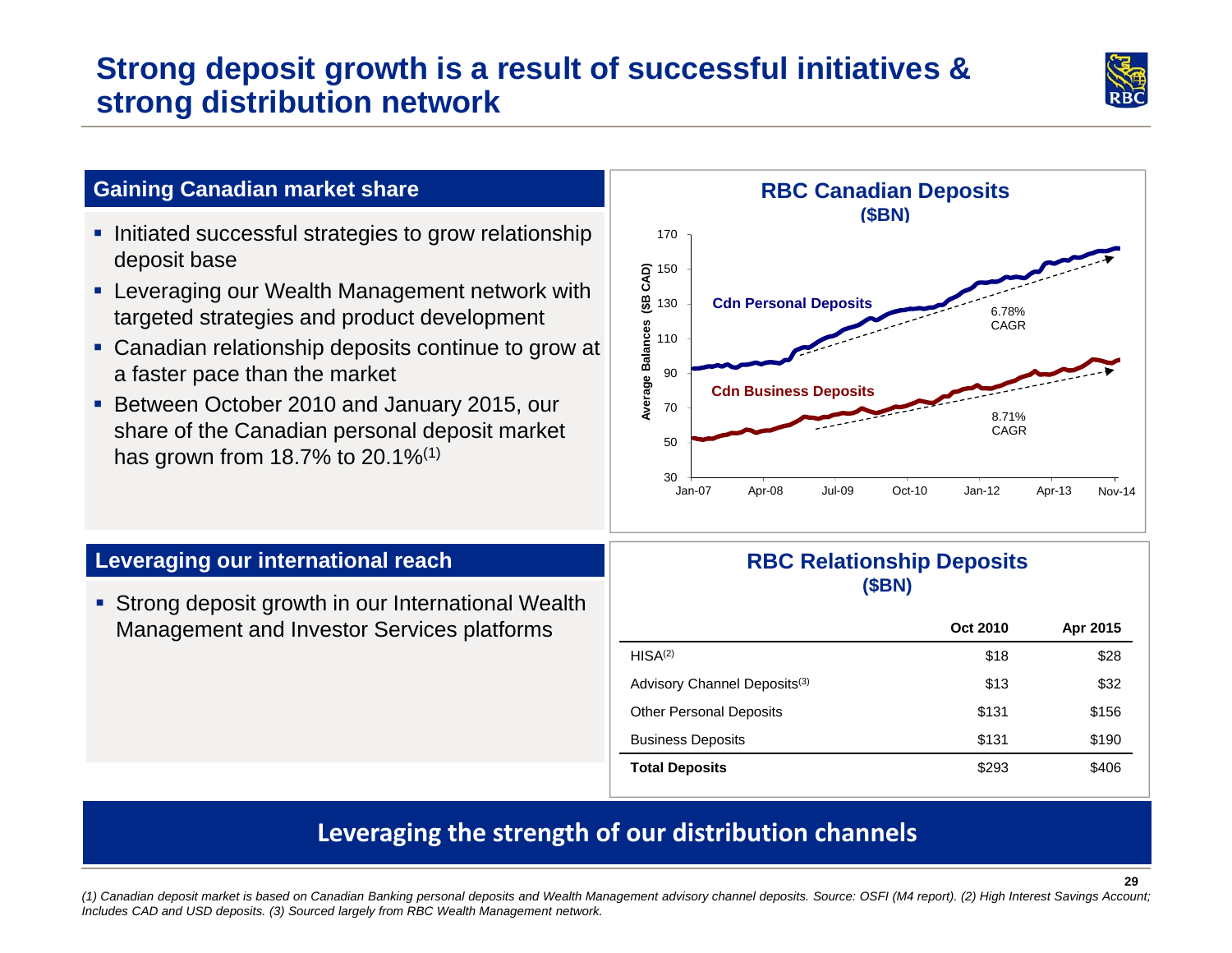### **Strong deposit growth is a result of successful initiatives & strong distribution network**



#### **Gaining Canadian market share**

- **Initiated successful strategies to grow relationship** deposit base
- Leveraging our Wealth Management network with targeted strategies and product development
- Canadian relationship deposits continue to grow at a faster pace than the market
- **Between October 2010 and January 2015, our** share of the Canadian personal deposit market has grown from 18.7% to 20.1%<sup>(1)</sup>



#### **Leveraging our international reach**

**Strong deposit growth in our International Wealth** Management and Investor Services platforms

#### **RBC Relationship Deposits (\$BN)**

|                                          | Oct 2010 | Apr 2015 |
|------------------------------------------|----------|----------|
| HISA <sup>(2)</sup>                      | \$18     | \$28     |
| Advisory Channel Deposits <sup>(3)</sup> | \$13     | \$32     |
| <b>Other Personal Deposits</b>           | \$131    | \$156    |
| <b>Business Deposits</b>                 | \$131    | \$190    |
| <b>Total Deposits</b>                    | \$293    | \$406    |

### **Leveraging the strength of our distribution channels**

 *(1) Canadian deposit market is based on Canadian Banking personal deposits and Wealth Management advisory channel deposits. Source: OSFI (M4 report). (2) High Interest Savings Account; Includes CAD and USD deposits. (3) Sourced largely from RBC Wealth Management network.*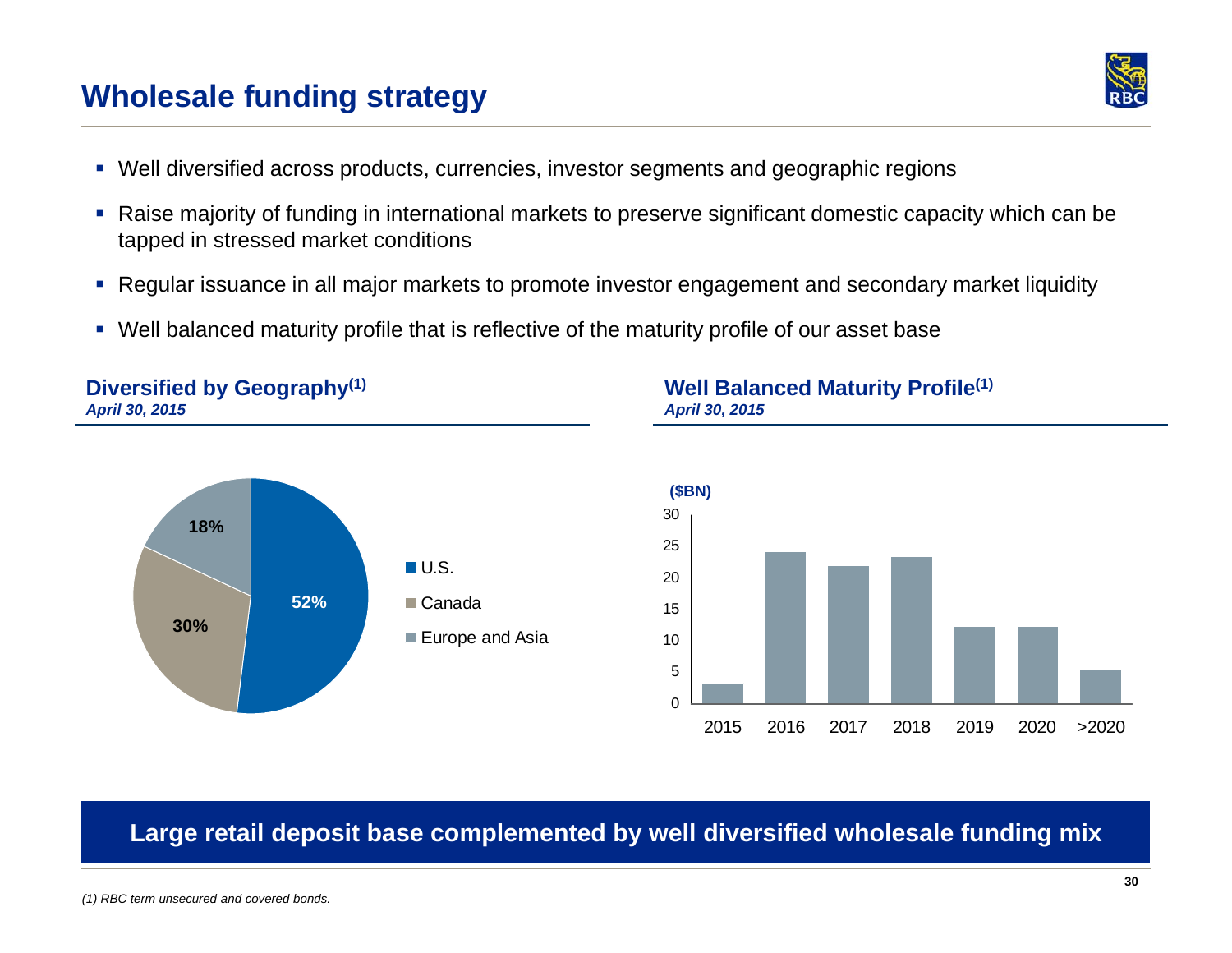### **Wholesale funding strategy**

- Well diversified across products, currencies, investor segments and geographic regions
- Raise majority of funding in international markets to preserve significant domestic capacity which can be tapped in stressed market conditions
- $\mathcal{L}_{\mathcal{A}}$ Regular issuance in all major markets to promote investor engagement and secondary market liquidity

**Large retail deposit base complemented by well diversified wholesale funding mix**

Well balanced maturity profile that is reflective of the maturity profile of our asset base

#### **Diversified by Geography(1)** *April 30, 2015*



#### **Well Balanced Maturity Profile(1)** *April 30, 2015*



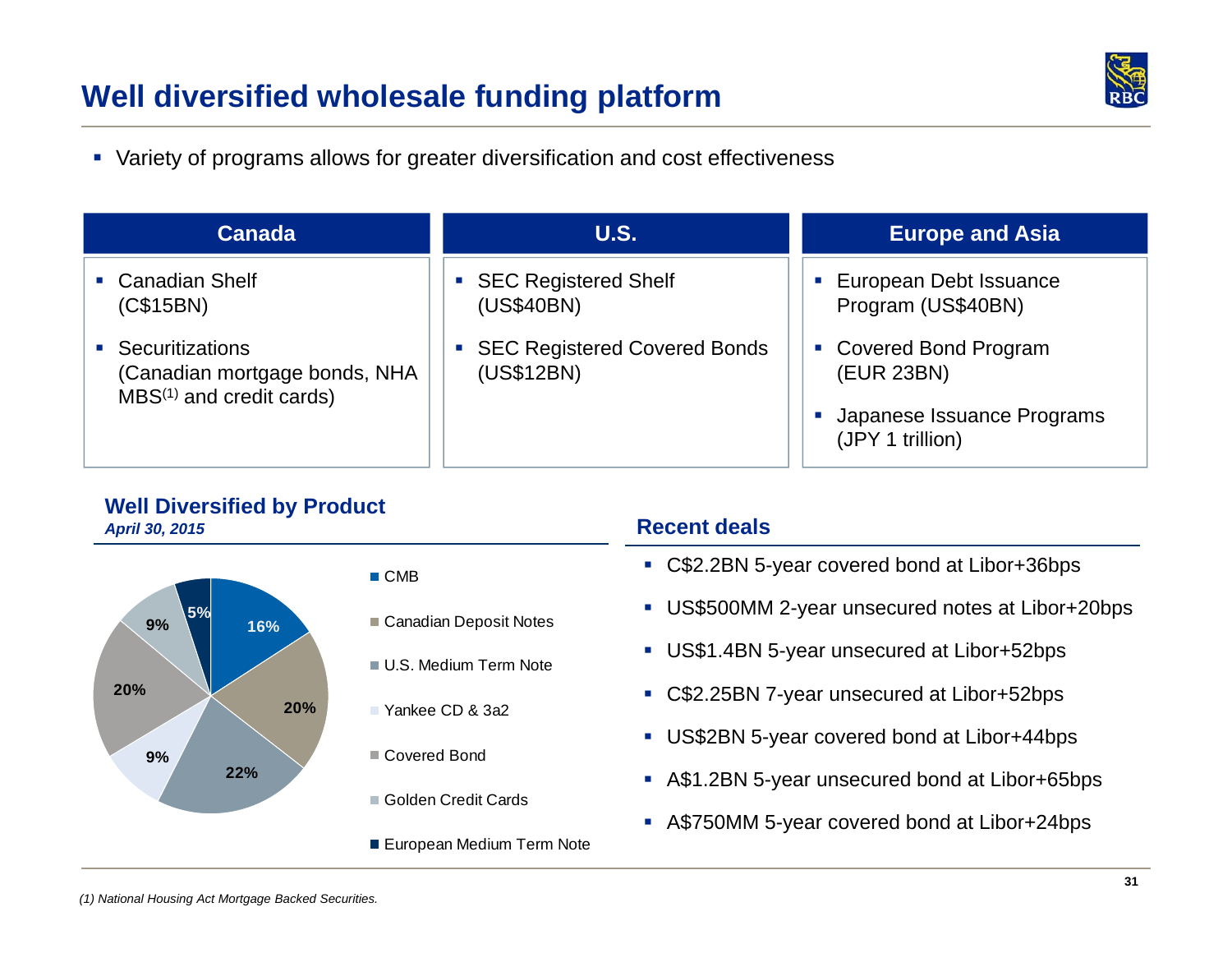### **Well diversified wholesale funding platform**



Variety of programs allows for greater diversification and cost effectiveness

| <b>Canada</b>                                                                                   | <b>U.S.</b>                                                                      | <b>Europe and Asia</b>                                                                                        |
|-------------------------------------------------------------------------------------------------|----------------------------------------------------------------------------------|---------------------------------------------------------------------------------------------------------------|
| • Canadian Shelf<br>(C\$15BN)                                                                   | • SEC Registered Shelf<br>(US\$40BN)                                             | European Debt Issuance<br>ш<br>Program (US\$40BN)                                                             |
| <b>Securitizations</b><br>(Canadian mortgage bonds, NHA<br>MBS <sup>(1)</sup> and credit cards) | <b>SEC Registered Covered Bonds</b><br>$\mathcal{L}_{\mathcal{A}}$<br>(US\$12BN) | <b>Covered Bond Program</b><br>$\blacksquare$<br>(EUR 23BN)<br>Japanese Issuance Programs<br>(JPY 1 trillion) |

#### **Well Diversified by Product** *April 30, 2015*

| April 30, 2015                             |                           |
|--------------------------------------------|---------------------------|
| 5%<br>9%<br>16%<br>20%<br>20%<br>9%<br>22% | $\blacksquare$ CMB        |
|                                            | Canadian Deposit Notes    |
|                                            | U.S. Medium Term Note     |
|                                            | ■ Yankee CD & 3a2         |
|                                            | Covered Bond              |
|                                            | Golden Credit Cards       |
|                                            | European Medium Term Note |

#### **Recent deals**

- C\$2.2BN 5-year covered bond at Libor+36bps
- US\$500MM 2-year unsecured notes at Libor+20bps
- US\$1.4BN 5-year unsecured at Libor+52bps
- C\$2.25BN 7-year unsecured at Libor+52bps
- US\$2BN 5-year covered bond at Libor+44bps
- A\$1.2BN 5-year unsecured bond at Libor+65bps
- A\$750MM 5-year covered bond at Libor+24bps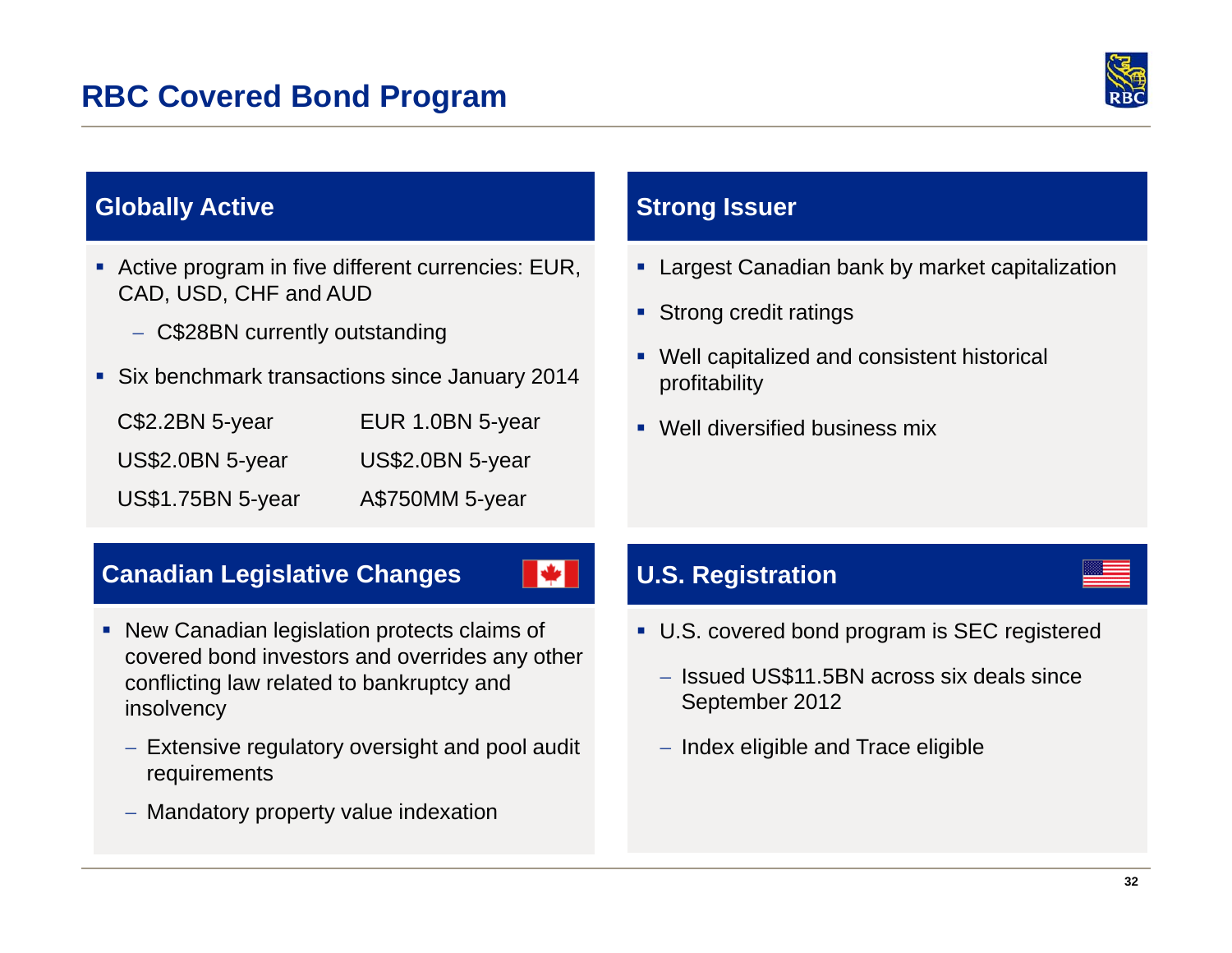

### **Globally Active**

- Active program in five different currencies: EUR, CAD, USD, CHF and AUD
	- C\$28BN currently outstanding
- **Six benchmark transactions since January 2014**

| $C$2.2BN 5-year$         | EUR 1.0BN 5-year |
|--------------------------|------------------|
| US\$2.0BN 5-year         | US\$2.0BN 5-year |
| <b>US\$1.75BN 5-year</b> | A\$750MM 5-year  |

#### **Strong Issuer**

- Largest Canadian bank by market capitalization
- **Strong credit ratings**
- Well capitalized and consistent historical profitability
- Well diversified business mix

### **Canadian Legislative Changes**

- New Canadian legislation protects claims of covered bond investors and overrides any other conflicting law related to bankruptcy and insolvency
	- Extensive regulatory oversight and pool audit requirements
	- Mandatory property value indexation

### **U.S. Registration**

 $\blacktriangleright$ 

- U.S. covered bond program is SEC registered
	- Issued US\$11.5BN across six deals since September 2012
	- $-$  Index eligible and Trace eligible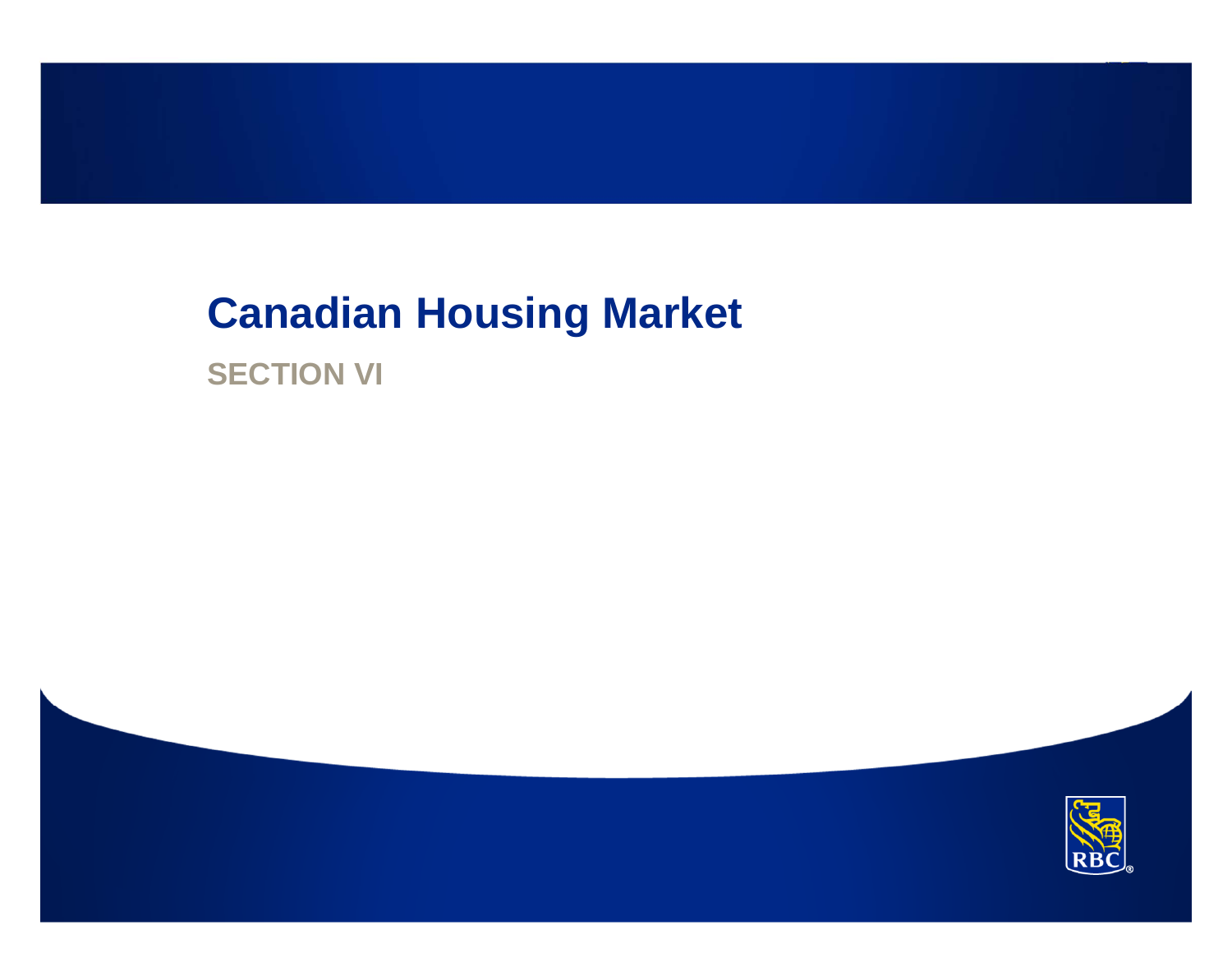## **Canadian Housing Market**

**SECTION VI**

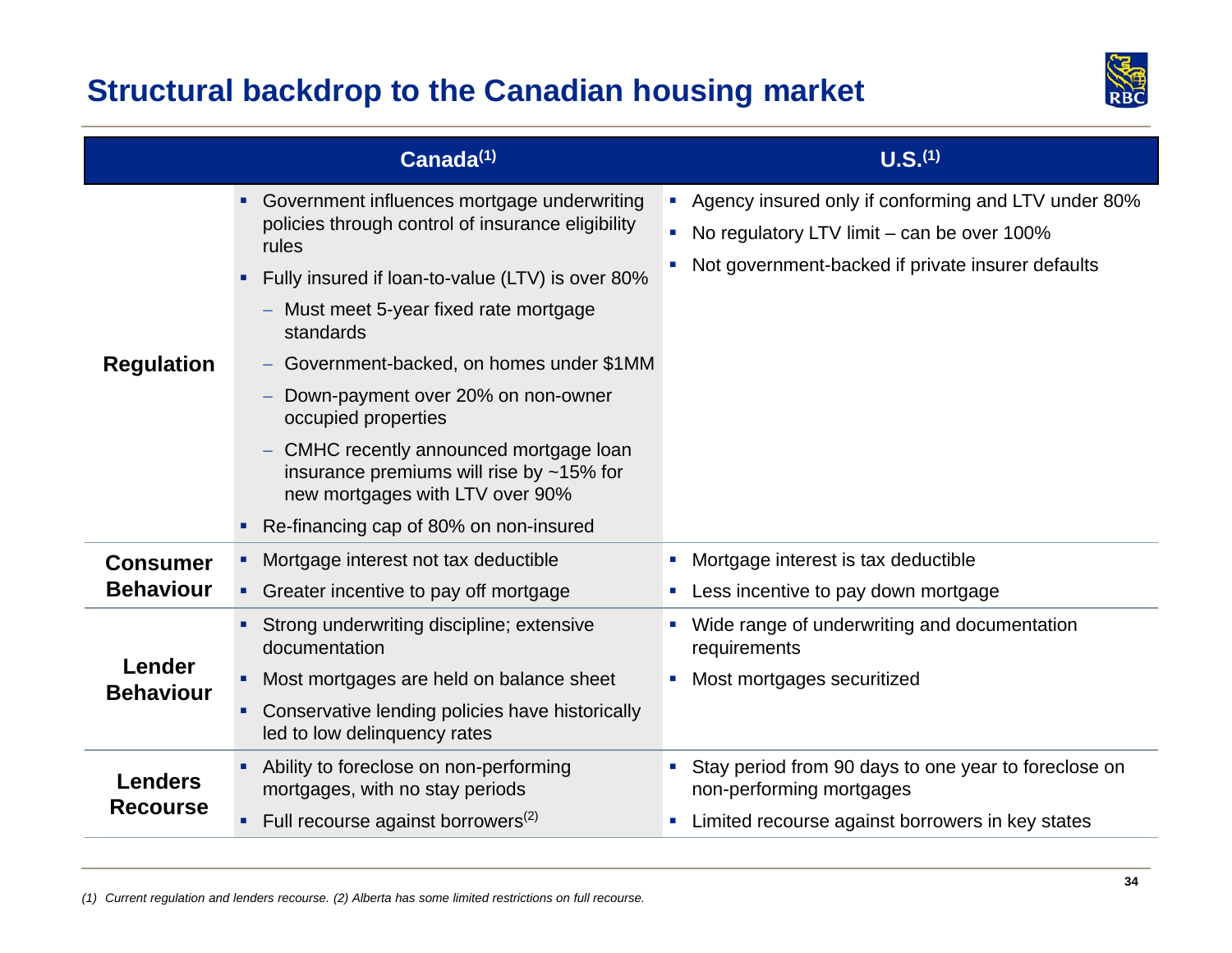### **Structural backdrop to the Canadian housing market**



|                                     | Canada <sup>(1)</sup>                                                                                                                                                                                                                                                                                                                                                                                                                                                                                                                                | U.S. <sup>(1)</sup>                                                                                                                                      |
|-------------------------------------|------------------------------------------------------------------------------------------------------------------------------------------------------------------------------------------------------------------------------------------------------------------------------------------------------------------------------------------------------------------------------------------------------------------------------------------------------------------------------------------------------------------------------------------------------|----------------------------------------------------------------------------------------------------------------------------------------------------------|
| <b>Regulation</b>                   | • Government influences mortgage underwriting<br>policies through control of insurance eligibility<br>rules<br>Fully insured if loan-to-value (LTV) is over 80%<br>Must meet 5-year fixed rate mortgage<br>$\qquad \qquad -$<br>standards<br>Government-backed, on homes under \$1MM<br>Down-payment over 20% on non-owner<br>occupied properties<br>CMHC recently announced mortgage loan<br>$\overline{\phantom{0}}$<br>insurance premiums will rise by $~15\%$ for<br>new mortgages with LTV over 90%<br>• Re-financing cap of 80% on non-insured | • Agency insured only if conforming and LTV under 80%<br>No regulatory LTV limit – can be over 100%<br>Not government-backed if private insurer defaults |
| <b>Consumer</b><br><b>Behaviour</b> | Mortgage interest not tax deductible<br>• Greater incentive to pay off mortgage                                                                                                                                                                                                                                                                                                                                                                                                                                                                      | Mortgage interest is tax deductible<br>Less incentive to pay down mortgage                                                                               |
| Lender<br><b>Behaviour</b>          | Strong underwriting discipline; extensive<br>documentation<br>Most mortgages are held on balance sheet<br>٠<br>Conservative lending policies have historically<br>led to low delinguency rates                                                                                                                                                                                                                                                                                                                                                       | Wide range of underwriting and documentation<br>requirements<br>Most mortgages securitized<br>u.                                                         |
| <b>Lenders</b><br><b>Recourse</b>   | Ability to foreclose on non-performing<br>mortgages, with no stay periods<br>Full recourse against borrowers $^{(2)}$                                                                                                                                                                                                                                                                                                                                                                                                                                | Stay period from 90 days to one year to foreclose on<br>non-performing mortgages<br>Limited recourse against borrowers in key states                     |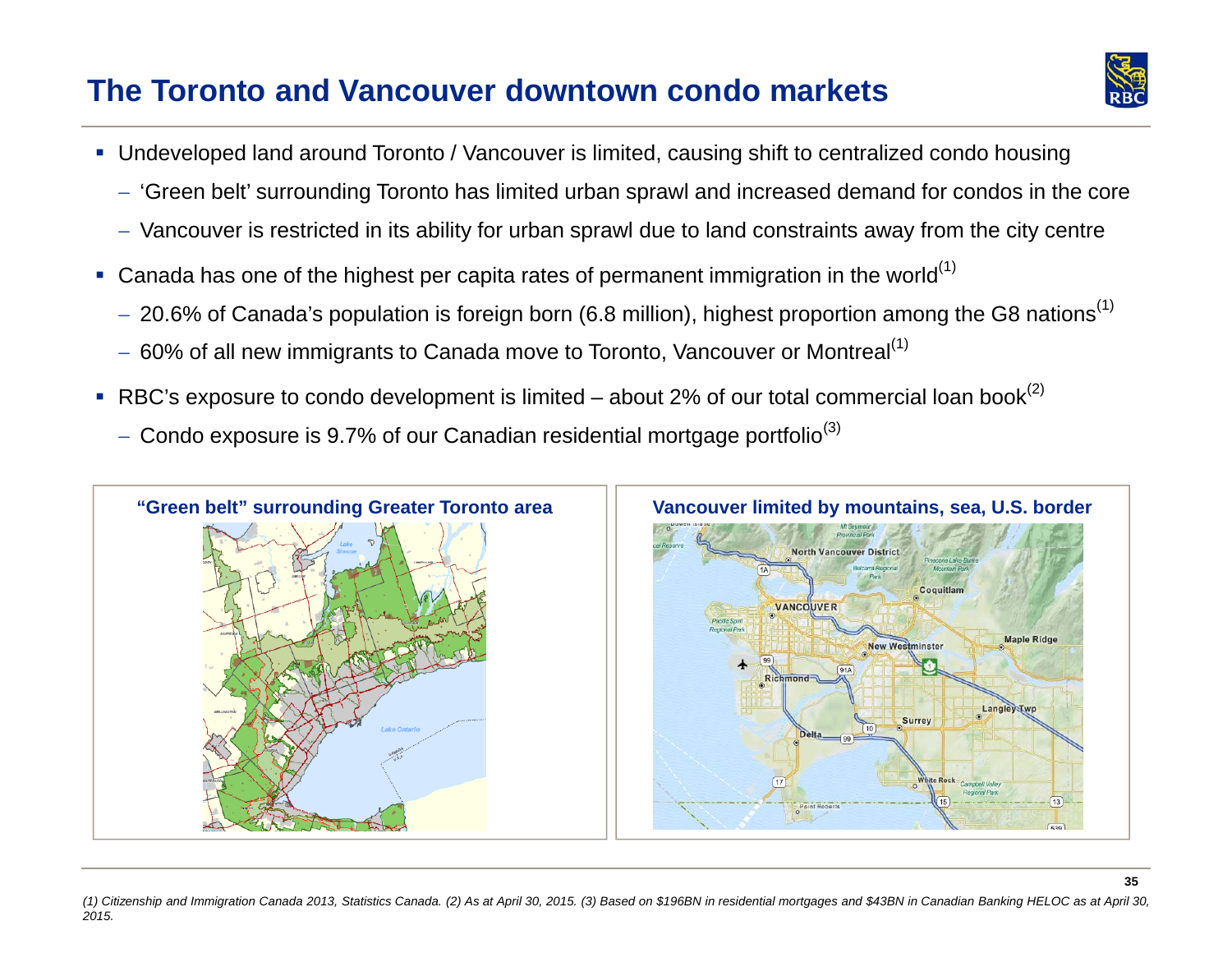### **The Toronto and Vancouver downtown condo markets**



**35**

- Undeveloped land around Toronto / Vancouver is limited, causing shift to centralized condo housing
	- 'Green belt' surrounding Toronto has limited urban sprawl and increased demand for condos in the core
	- $-$  Vancouver is restricted in its ability for urban sprawl due to land constraints away from the city centre
- Canada has one of the highest per capita rates of permanent immigration in the world<sup>(1)</sup>
	- $-$  20.6% of Canada's population is foreign born (6.8 million), highest proportion among the G8 nations $^{\left(1\right)}$
	- $-$  60% of all new immigrants to Canada move to Toronto, Vancouver or Montreal $^{\left(1\right)}$
- L RBC's exposure to condo development is limited – about 2% of our total commercial loan book<sup>(2)</sup>
	- $-$  Condo exposure is 9.7% of our Canadian residential mortgage portfolio $^{\left( 3\right) }$

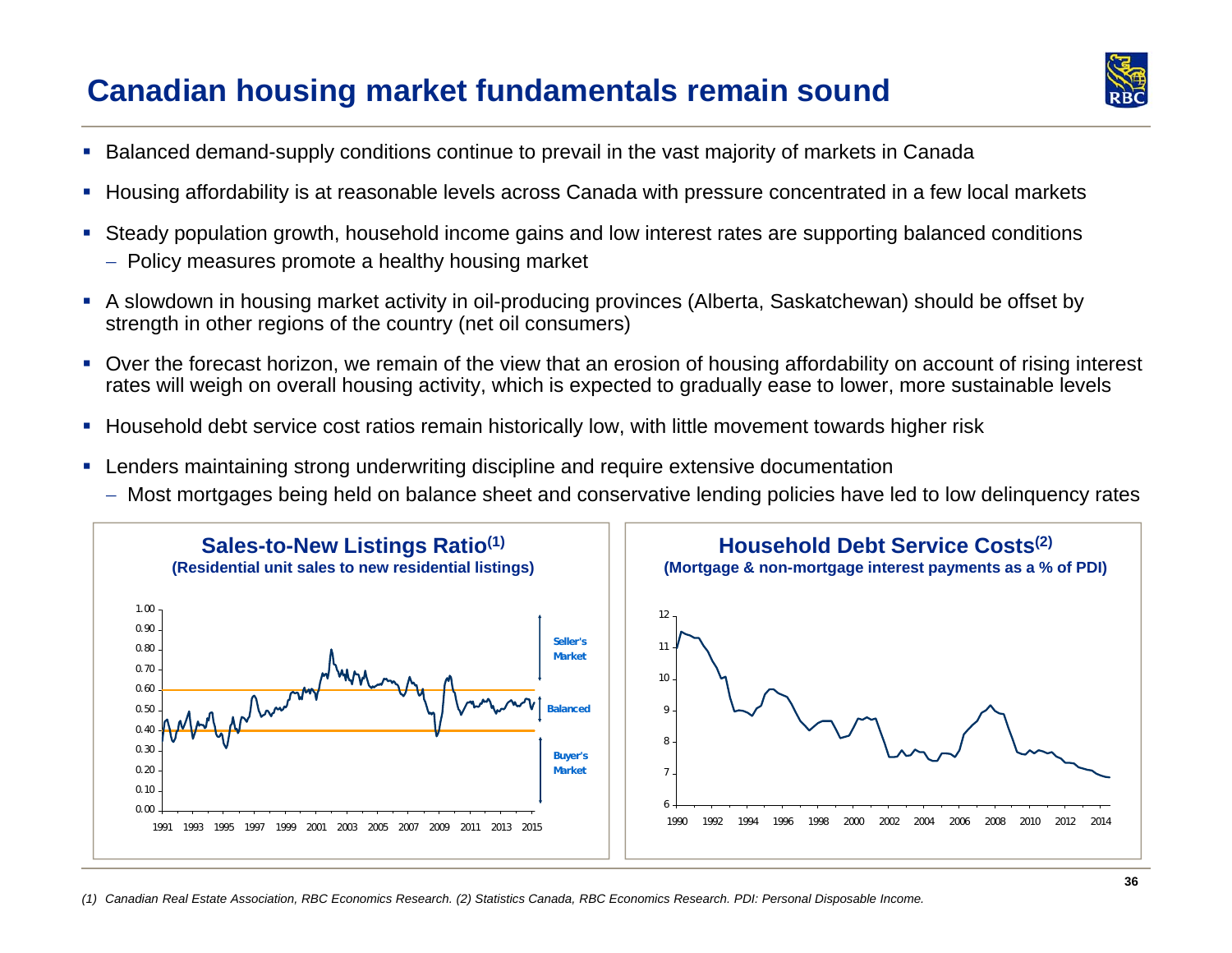### **Canadian housing market fundamentals remain sound**



- Balanced demand-supply conditions continue to prevail in the vast majority of markets in Canada
- Housing affordability is at reasonable levels across Canada with pressure concentrated in a few local markets
- $\mathcal{L}_{\mathcal{A}}$  Steady population growth, household income gains and low interest rates are supporting balanced conditions
	- $\hspace{0.1mm}-\hspace{0.1mm}$  Policy measures promote a healthy housing market
- A slowdown in housing market activity in oil-producing provinces (Alberta, Saskatchewan) should be offset by strength in other regions of the country (net oil consumers)
- Over the forecast horizon, we remain of the view that an erosion of housing affordability on account of rising interest rates will weigh on overall housing activity, which is expected to gradually ease to lower, more sustainable levels
- Household debt service cost ratios remain historically low, with little movement towards higher risk
- **I**  Lenders maintaining strong underwriting discipline and require extensive documentation
	- Most mortgages being held on balance sheet and conservative lending policies have led to low delinquency rates

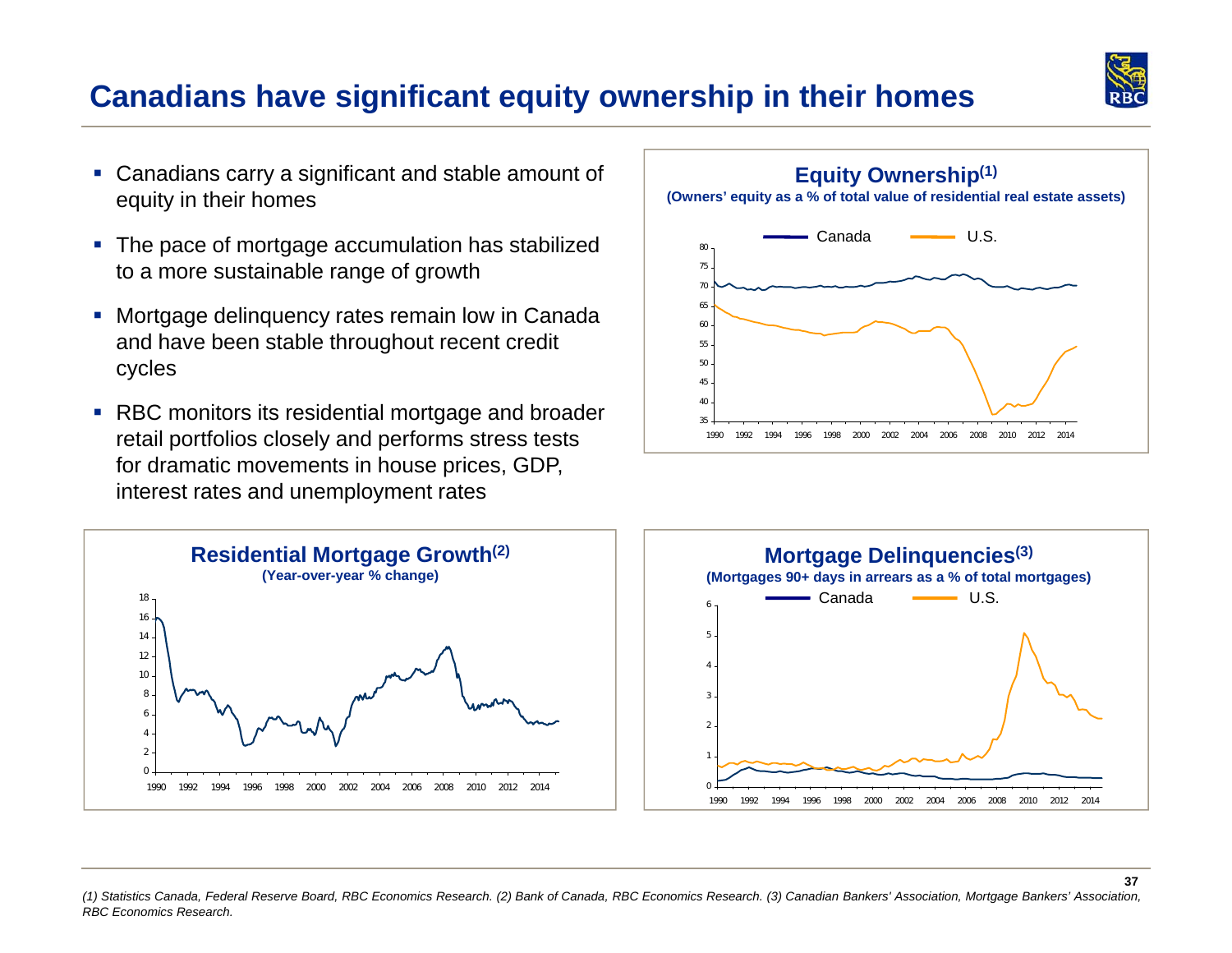

### **Canadians have significant equity ownership in their homes**

- Canadians carry a significant and stable amount of equity in their homes
- $\overline{\phantom{a}}$  The pace of mortgage accumulation has stabilized to a more sustainable range of growth
- $\overline{\phantom{a}}$  Mortgage delinquency rates remain low in Canada and have been stable throughout recent credit cycles
- RBC monitors its residential mortgage and broader retail portfolios closely and performs stress tests for dramatic movements in house prices, GDP, interest rates and unemployment rates







 *(1) Statistics Canada, Federal Reserve Board, RBC Economics Research. (2) Bank of Canada, RBC Economics Research. (3) Canadian Bankers' Association, Mortgage Bankers' Association, RBC Economics Research.*